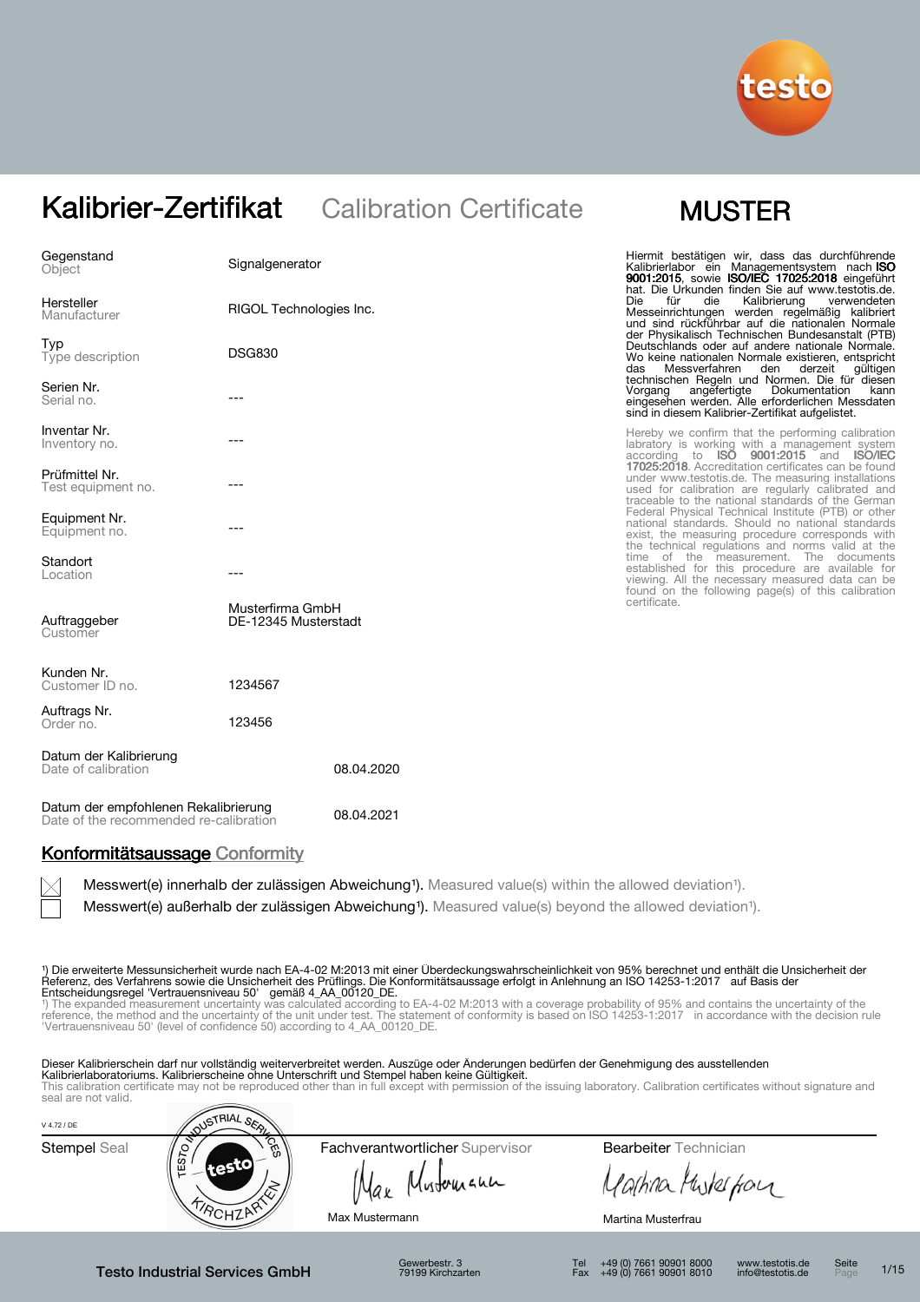

| Gegenstand<br>Object                                                           | Signalgenerator                          |            | Hiermit bestätigen wir, dass das durchführende<br>Kalibrierlabor ein Managementsystem nach ISO<br>9001:2015, sowie ISO/IEC 17025:2018 eingeführt<br>hat. Die Urkunden finden Sie auf www.testotis.de.               |
|--------------------------------------------------------------------------------|------------------------------------------|------------|---------------------------------------------------------------------------------------------------------------------------------------------------------------------------------------------------------------------|
| Hersteller<br>Manufacturer                                                     | RIGOL Technologies Inc.                  |            | <b>Die</b><br>für<br>die<br>Kalibrierung<br>verwendeten<br>Messeinrichtungen werden regelmäßig kalibriert<br>und sind rückführbar auf die nationalen Normale<br>der Physikalisch Technischen Bundesanstalt (PTB)    |
| Typ<br>Type description                                                        | <b>DSG830</b>                            |            | Deutschlands oder auf andere nationale Normale.<br>Wo keine nationalen Normale existieren, entspricht<br>Messverfahren<br>das<br>den<br>derzeit<br>gültigen                                                         |
| Serien Nr.<br>Serial no.                                                       | ---                                      |            | technischen Regeln und Normen. Die für diesen<br>angefertigte Dokumentation<br>Vorgang<br>kann<br>eingesehen werden. Alle erforderlichen Messdaten<br>sind in diesem Kalibrier-Zertifikat aufgelistet.              |
| Inventar Nr.<br>Inventory no.                                                  |                                          |            | Hereby we confirm that the performing calibration<br>labratory is working with a management system<br>according to <b>ISO 9001:2015</b> and <b>ISO/IEC</b>                                                          |
| Prüfmittel Nr.<br>Test equipment no.                                           | ---                                      |            | 17025:2018. Accreditation certificates can be found<br>under www.testotis.de. The measuring installations<br>used for calibration are regularly calibrated and<br>traceable to the national standards of the German |
| Equipment Nr.<br>Equipment no.                                                 |                                          |            | Federal Physical Technical Institute (PTB) or other<br>national standards. Should no national standards<br>exist, the measuring procedure corresponds with<br>the technical regulations and norms valid at the      |
| Standort<br>Location                                                           | ---                                      |            | time of the measurement. The documents<br>established for this procedure are available for<br>viewing. All the necessary measured data can be                                                                       |
| Auftraggeber<br>Customer                                                       | Musterfirma GmbH<br>DE-12345 Musterstadt |            | found on the following page(s) of this calibration<br>certificate.                                                                                                                                                  |
| Kunden Nr.<br>Customer ID no.                                                  | 1234567                                  |            |                                                                                                                                                                                                                     |
| Auftrags Nr.<br>Order no.                                                      | 123456                                   |            |                                                                                                                                                                                                                     |
| Datum der Kalibrierung<br>Date of calibration                                  |                                          | 08.04.2020 |                                                                                                                                                                                                                     |
| Datum der empfohlenen Rekalibrierung<br>Date of the recommended re-calibration |                                          | 08.04.2021 |                                                                                                                                                                                                                     |

### Konformitätsaussage Conformity

Messwert(e) innerhalb der zulässigen Abweichung<sup>1</sup>). Measured value(s) within the allowed deviation<sup>1</sup>).

Messwert(e) außerhalb der zulässigen Abweichung<sup>1</sup>). Measured value(s) beyond the allowed deviation<sup>1</sup>).

¹) Die erweiterte Messunsicherheit wurde nach EA-4-02 M:2013 mit einer Überdeckungswahrscheinlichkeit von 95% berechnet und enthält die Unsicherheit der Referenz, des Verfahrens sowie die Unsicherheit des Prüflings. Die Konformitätsaussage erfolgt in Anlehnung an ISO 14253-1:2017 auf Basis der

Entscheidungsregel 'Vertrauensniveau 50' gemäß 4\_AA\_00120\_DE.<br>\*) The expanded measurement uncertainty was calculated according to EA-4-02 M:2013 with a coverage probability of 95% and contains the uncertainty of the<br>refere

Dieser Kalibrierschein darf nur vollständig weiterverbreitet werden. Auszüge oder Änderungen bedürfen der Genehmigung des ausstellenden **Kalibrierlaboratoriums. Kalibrierscheine ohne Unterschrift und Stempel haben keine Gültigkeit.**<br>This calibration certificate may not be reproduced other than in full except with permission of the issuing laboratory. Calib

| V 4.72 / DE         | <b>NUSTRIAL SER</b> |                                 |                              |  |
|---------------------|---------------------|---------------------------------|------------------------------|--|
| <b>Stempel Seal</b> | CES<br>ΕŚ<br>testo  | Fachverantwortlicher Supervisor | <b>Bearbeiter</b> Technician |  |
|                     |                     | Mustomann<br>Max                | Mutes for                    |  |
|                     |                     | Max Mustermann                  | Martina Musterfrau           |  |

Testo Industrial Services GmbH

Gewerbestr. 3 79199 Kirchzarten

Tel +49 (0) 7661 90901 8000 Fax +49 (0) 7661 90901 8010 www.testotis.de info@testotis.de Seite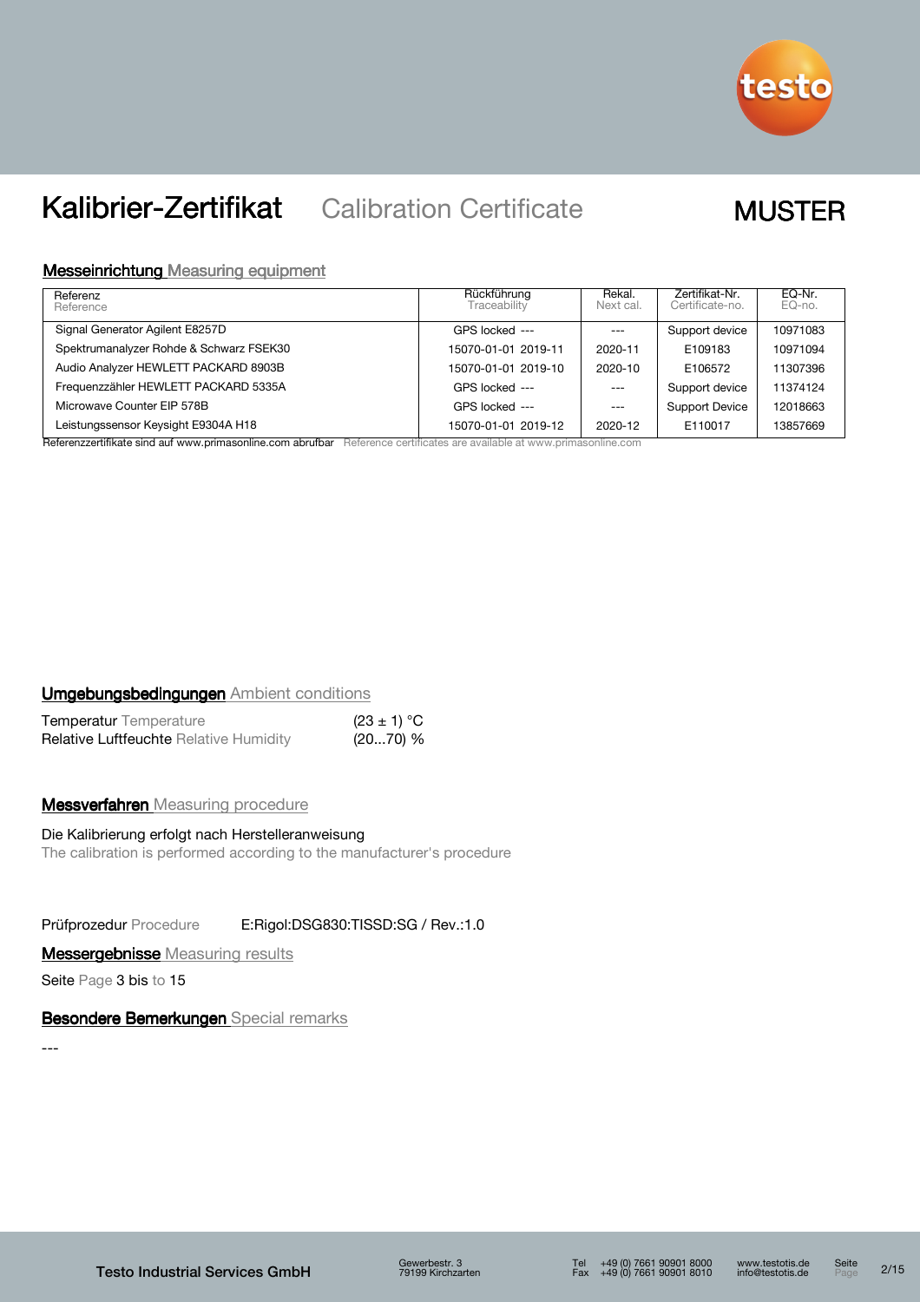

### Messeinrichtung Measuring equipment

| Referenz<br>Reference                   | Rückführung<br>Traceability | Rekal.<br>Next cal. | Zertifikat-Nr.<br>Certificate-no. | EQ-Nr.<br>EQ-no. |
|-----------------------------------------|-----------------------------|---------------------|-----------------------------------|------------------|
| Signal Generator Agilent E8257D         | GPS locked ---              | $---$               | Support device                    | 10971083         |
| Spektrumanalyzer Rohde & Schwarz FSEK30 | 15070-01-01 2019-11         | 2020-11             | E109183                           | 10971094         |
| Audio Analyzer HEWLETT PACKARD 8903B    | 15070-01-01 2019-10         | 2020-10             | E106572                           | 11307396         |
| Frequenzzähler HEWLETT PACKARD 5335A    | GPS locked ---              | $---$               | Support device                    | 11374124         |
| Microwave Counter EIP 578B              | GPS locked ---              | $---$               | Support Device                    | 12018663         |
| Leistungssensor Keysight E9304A H18     | 15070-01-01 2019-12         | 2020-12             | E110017                           | 13857669         |

Referenzzertifikate sind auf www.primasonline.com abrufbar Reference certificates are available at www.primasonline.com

### Umgebungsbedingungen Ambient conditions

| <b>Temperatur</b> Temperature                 | $(23 \pm 1) °C$ |  |
|-----------------------------------------------|-----------------|--|
| <b>Relative Luftfeuchte Relative Humidity</b> | $(2070)$ %      |  |

### **Messverfahren** Measuring procedure

### Die Kalibrierung erfolgt nach Herstelleranweisung The calibration is performed according to the manufacturer's procedure

Prüfprozedur Procedure E:Rigol:DSG830:TISSD:SG / Rev.:1.0

### **Messergebnisse** Measuring results

Seite Page 3 bis to 15

### Besondere Bemerkungen Special remarks

---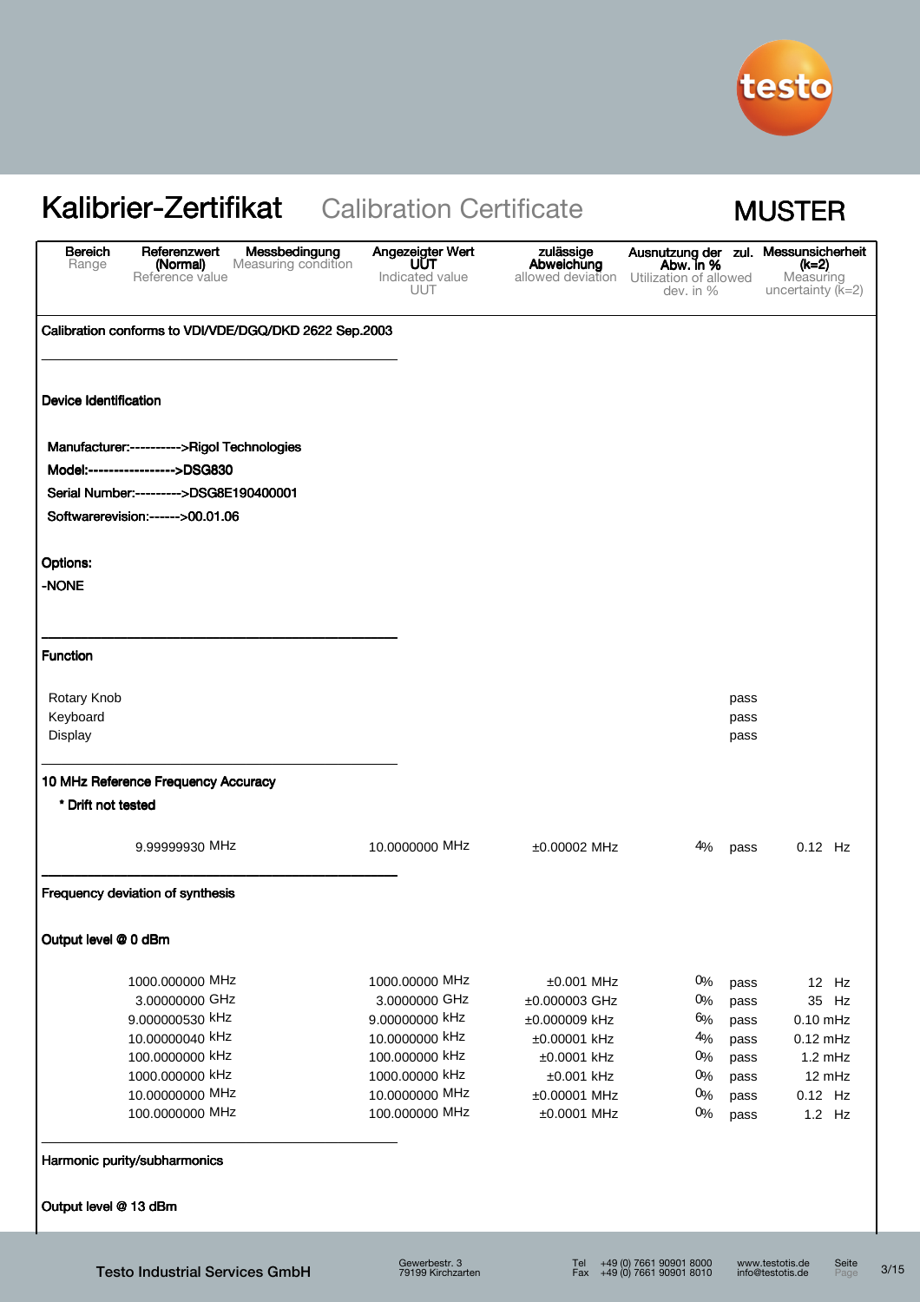

| <b>Bereich</b><br>Range                    | Referenzwert<br>(Normal)<br>Reference value | Messbedingung<br>Measuring condition                  | Angezeigter Wert<br><b>UUT</b><br>Indicated value<br>UUT | zulässige<br>Abweichung<br>allowed deviation Utilization of allowed | Abw. in %<br>dev. in $%$ |              | Ausnutzung der zul. Messunsicherheit<br>(k=2)<br>Measuring<br>uncertainty $(K=2)$ |
|--------------------------------------------|---------------------------------------------|-------------------------------------------------------|----------------------------------------------------------|---------------------------------------------------------------------|--------------------------|--------------|-----------------------------------------------------------------------------------|
|                                            |                                             | Calibration conforms to VDI/VDE/DGQ/DKD 2622 Sep.2003 |                                                          |                                                                     |                          |              |                                                                                   |
| Device Identification                      |                                             |                                                       |                                                          |                                                                     |                          |              |                                                                                   |
| Manufacturer:---------->Rigol Technologies |                                             |                                                       |                                                          |                                                                     |                          |              |                                                                                   |
| Model:----------------->DSG830             |                                             |                                                       |                                                          |                                                                     |                          |              |                                                                                   |
| Serial Number:--------->DSG8E190400001     |                                             |                                                       |                                                          |                                                                     |                          |              |                                                                                   |
| Softwarerevision:------>00.01.06           |                                             |                                                       |                                                          |                                                                     |                          |              |                                                                                   |
| <b>Options:</b>                            |                                             |                                                       |                                                          |                                                                     |                          |              |                                                                                   |
| -NONE                                      |                                             |                                                       |                                                          |                                                                     |                          |              |                                                                                   |
| <b>Function</b>                            |                                             |                                                       |                                                          |                                                                     |                          |              |                                                                                   |
| Rotary Knob                                |                                             |                                                       |                                                          |                                                                     |                          |              |                                                                                   |
| Keyboard                                   |                                             |                                                       |                                                          |                                                                     |                          | pass<br>pass |                                                                                   |
| Display                                    |                                             |                                                       |                                                          |                                                                     |                          | pass         |                                                                                   |
| 10 MHz Reference Frequency Accuracy        |                                             |                                                       |                                                          |                                                                     |                          |              |                                                                                   |
| * Drift not tested                         |                                             |                                                       |                                                          |                                                                     |                          |              |                                                                                   |
|                                            | 9.99999930 MHz                              |                                                       | 10.0000000 MHz                                           | ±0.00002 MHz                                                        | 4%                       | pass         | $0.12$ Hz                                                                         |
| Frequency deviation of synthesis           |                                             |                                                       |                                                          |                                                                     |                          |              |                                                                                   |
| Output level @ 0 dBm                       |                                             |                                                       |                                                          |                                                                     |                          |              |                                                                                   |
|                                            | 1000.000000 MHz                             |                                                       | 1000.00000 MHz                                           | $±0.001$ MHz                                                        | 0%                       | pass         | 12 Hz                                                                             |
|                                            | 3.00000000 GHz                              |                                                       | 3.0000000 GHz                                            | ±0.000003 GHz                                                       | $0\%$                    | pass         | 35 Hz                                                                             |
|                                            | 9.000000530 kHz                             |                                                       | 9.00000000 kHz                                           | ±0.000009 kHz                                                       | 6%                       | pass         | $0.10$ mHz                                                                        |
|                                            | 10.00000040 kHz                             |                                                       | 10.0000000 kHz                                           | ±0.00001 kHz                                                        | 4%                       | pass         | $0.12$ mHz                                                                        |
|                                            | 100.0000000 kHz                             |                                                       | 100.000000 kHz                                           | ±0.0001 kHz                                                         | 0%                       | pass         | 1.2 mHz                                                                           |
|                                            | 1000.000000 kHz                             |                                                       | 1000.00000 kHz                                           | $±0.001$ kHz                                                        | 0%                       | pass         | 12 mHz                                                                            |
|                                            | 10.00000000 MHz<br>100.0000000 MHz          |                                                       | 10.0000000 MHz<br>100.000000 MHz                         | ±0.00001 MHz<br>$±0.0001$ MHz                                       | 0%<br>0%                 | pass<br>pass | 0.12 Hz<br>1.2 Hz                                                                 |
| Harmonic purity/subharmonics               |                                             |                                                       |                                                          |                                                                     |                          |              |                                                                                   |
| Output level @ 13 dBm                      |                                             |                                                       |                                                          |                                                                     |                          |              |                                                                                   |
|                                            |                                             |                                                       |                                                          |                                                                     |                          |              |                                                                                   |

 $3/15$ 

Seite<br>Page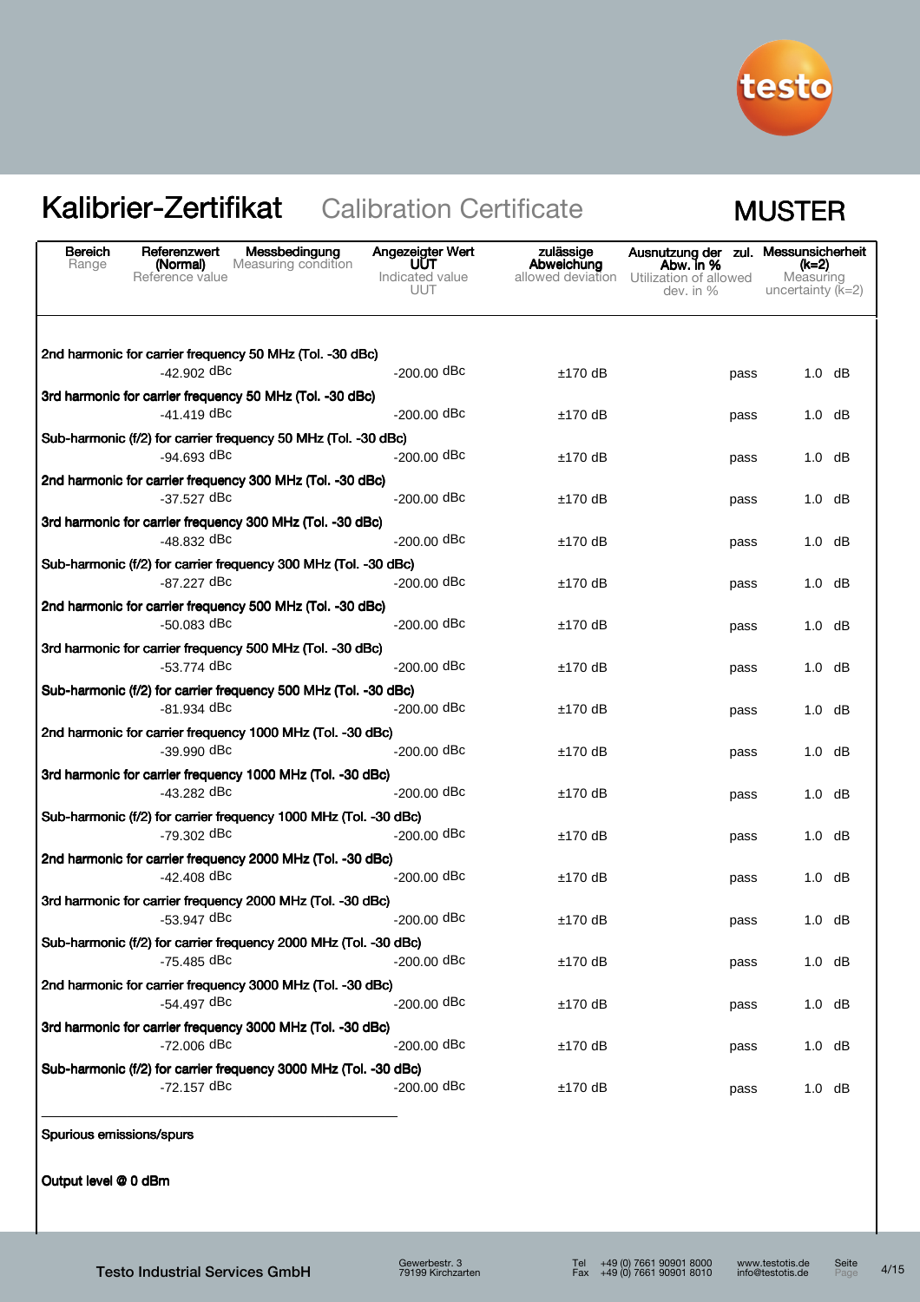

| <b>Bereich</b><br>Messbedingung<br>Referenzwert<br>Range<br>Measuring condition<br>(Normal)<br>Reference value | Angezeigter Wert<br><b>UUT</b><br>Indicated value<br>UUT | zulässige<br>Abweichung | Ausnutzung der zul. Messunsicherheit<br>Abw. in %<br>allowed deviation Utilization of allowed<br>dev. in $%$ | (k=2)<br>Measuring<br>uncertainty $(k=2)$ |
|----------------------------------------------------------------------------------------------------------------|----------------------------------------------------------|-------------------------|--------------------------------------------------------------------------------------------------------------|-------------------------------------------|
| 2nd harmonic for carrier frequency 50 MHz (Tol. -30 dBc)<br>$-42.902$ dBc                                      | $-200.00$ dBc                                            |                         |                                                                                                              |                                           |
| 3rd harmonic for carrier frequency 50 MHz (Tol. -30 dBc)                                                       |                                                          | $±170$ dB               | pass                                                                                                         | $1.0$ dB                                  |
| -41.419 dBc                                                                                                    | $-200.00$ dBc                                            | $±170$ dB               | pass                                                                                                         | $1.0$ dB                                  |
| Sub-harmonic (f/2) for carrier frequency 50 MHz (Tol. -30 dBc)                                                 |                                                          |                         |                                                                                                              |                                           |
| $-94.693$ dBc                                                                                                  | $-200.00$ dBc                                            | $±170$ dB               | pass                                                                                                         | $1.0$ dB                                  |
| 2nd harmonic for carrier frequency 300 MHz (Tol. -30 dBc)<br>-37.527 dBc                                       | $-200.00$ dBc                                            | $±170$ dB               | pass                                                                                                         | 1.0<br>dB                                 |
| 3rd harmonic for carrier frequency 300 MHz (Tol. -30 dBc)<br>-48.832 dBc                                       | $-200.00$ dBc                                            | $±170$ dB               | pass                                                                                                         | 1.0<br>dB                                 |
| Sub-harmonic (f/2) for carrier frequency 300 MHz (Tol. -30 dBc)                                                |                                                          |                         |                                                                                                              |                                           |
| -87.227 dBc                                                                                                    | $-200.00$ dBc                                            | $±170$ dB               | pass                                                                                                         | $1.0$ dB                                  |
| 2nd harmonic for carrier frequency 500 MHz (Tol. -30 dBc)<br>$-50.083$ dBc                                     | $-200.00$ dBc                                            | $±170$ dB               | pass                                                                                                         | $1.0$ dB                                  |
| 3rd harmonic for carrier frequency 500 MHz (Tol. -30 dBc)<br>-53.774 dBc                                       | $-200.00$ dBc                                            | $±170$ dB               | pass                                                                                                         | $1.0$ dB                                  |
| Sub-harmonic (f/2) for carrier frequency 500 MHz (Tol. -30 dBc)<br>-81.934 dBc                                 | $-200.00$ dBc                                            | $±170$ dB               | pass                                                                                                         | $1.0$ dB                                  |
| 2nd harmonic for carrier frequency 1000 MHz (Tol. -30 dBc)<br>$-39.990$ dBc                                    | $-200.00$ dBc                                            | $±170$ dB               | pass                                                                                                         | $1.0$ dB                                  |
| 3rd harmonic for carrier frequency 1000 MHz (Tol. -30 dBc)<br>-43.282 dBc                                      | $-200.00$ dBc                                            |                         |                                                                                                              |                                           |
|                                                                                                                |                                                          | $±170$ dB               | pass                                                                                                         | 1.0<br>dB                                 |
| Sub-harmonic (f/2) for carrier frequency 1000 MHz (Tol. -30 dBc)<br>-79.302 dBc                                | $-200.00$ dBc                                            | $±170$ dB               | pass                                                                                                         | $1.0$ dB                                  |
| 2nd harmonic for carrier frequency 2000 MHz (Tol. -30 dBc)                                                     |                                                          |                         |                                                                                                              |                                           |
| $-42.408$ dBc                                                                                                  | $-200.00$ dBc                                            | $±170$ dB               | pass                                                                                                         | 1.0 dB                                    |
| 3rd harmonic for carrier frequency 2000 MHz (Tol. -30 dBc)<br>$-53.947$ dBc                                    | $-200.00$ dBc                                            | $±170$ dB               | pass                                                                                                         | $1.0$ dB                                  |
| Sub-harmonic (f/2) for carrier frequency 2000 MHz (Tol. -30 dBc)<br>-75.485 dBc                                | -200.00 dBc                                              | $±170$ dB               | pass                                                                                                         | $1.0$ dB                                  |
| 2nd harmonic for carrier frequency 3000 MHz (Tol. -30 dBc)<br>$-54.497$ dBc                                    | $-200.00$ dBc                                            | $±170$ dB               | pass                                                                                                         | $1.0$ dB                                  |
| 3rd harmonic for carrier frequency 3000 MHz (Tol. -30 dBc)<br>$-72.006$ dBc                                    | $-200.00$ dBc                                            | ±170 dB                 |                                                                                                              | $1.0$ dB                                  |
| Sub-harmonic (f/2) for carrier frequency 3000 MHz (Tol. -30 dBc)                                               |                                                          |                         | pass                                                                                                         |                                           |
| -72.157 dBc                                                                                                    | $-200.00$ dBc                                            | $±170$ dB               | pass                                                                                                         | $1.0$ dB                                  |

Spurious emissions/spurs

Output level @ 0 dBm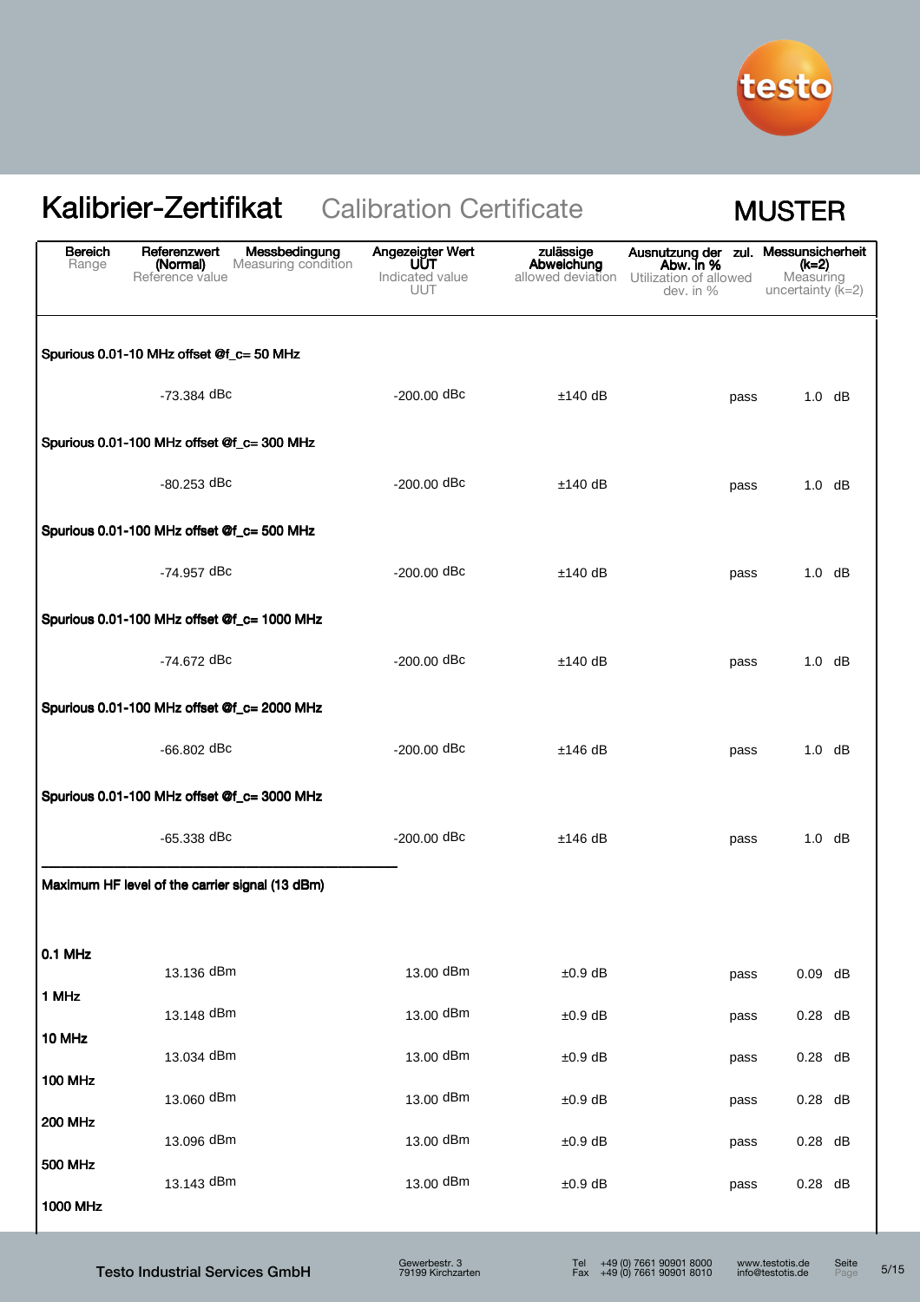

| <b>Bereich</b><br>Range | Referenzwert<br>Messbedingung<br>(Normal)<br>Measuring condition<br>Reference value | Angezeigter Wert<br>UUT<br>Indicated value<br><b>UUT</b> | zulässige<br>Abweichung<br>allowed deviation | Ausnutzung der zul.<br>Abw. in %<br>Utilization of allowed<br>dev. in $%$ | Messunsicherheit<br>(k=2)<br>Measuring<br>uncertainty $(k=2)$ |
|-------------------------|-------------------------------------------------------------------------------------|----------------------------------------------------------|----------------------------------------------|---------------------------------------------------------------------------|---------------------------------------------------------------|
|                         | Spurious 0.01-10 MHz offset @f_c= 50 MHz                                            |                                                          |                                              |                                                                           |                                                               |
|                         | -73.384 dBc                                                                         | $-200.00$ dBc                                            | $±140$ dB                                    | pass                                                                      | $1.0$ dB                                                      |
|                         | Spurious 0.01-100 MHz offset @f_c= 300 MHz                                          |                                                          |                                              |                                                                           |                                                               |
|                         | -80.253 dBc                                                                         | $-200.00$ dBc                                            | $±140$ dB                                    | pass                                                                      | $1.0$ dB                                                      |
|                         | Spurious 0.01-100 MHz offset @f_c= 500 MHz                                          |                                                          |                                              |                                                                           |                                                               |
|                         | -74.957 dBc                                                                         | $-200.00$ dBc                                            | $±140$ dB                                    | pass                                                                      | $1.0$ dB                                                      |
|                         | Spurious 0.01-100 MHz offset @f_c= 1000 MHz                                         |                                                          |                                              |                                                                           |                                                               |
|                         | $-74.672$ dBc                                                                       | $-200.00$ dBc                                            | $±140$ dB                                    | pass                                                                      | $1.0$ dB                                                      |
|                         | Spurious 0.01-100 MHz offset @f_c= 2000 MHz                                         |                                                          |                                              |                                                                           |                                                               |
|                         | $-66.802$ dBc                                                                       | $-200.00$ dBc                                            | $±146$ dB                                    | pass                                                                      | $1.0$ dB                                                      |
|                         | Spurious 0.01-100 MHz offset @f_c= 3000 MHz                                         |                                                          |                                              |                                                                           |                                                               |
|                         | $-65.338$ dBc                                                                       | $-200.00$ dBc                                            | $±146$ dB                                    | pass                                                                      | $1.0$ dB                                                      |
|                         | Maximum HF level of the carrier signal (13 dBm)                                     |                                                          |                                              |                                                                           |                                                               |
| 0.1 MHz                 |                                                                                     |                                                          |                                              |                                                                           |                                                               |
| 1 MHz                   | 13.136 dBm                                                                          | 13.00 dBm                                                | $±0.9$ dB                                    | pass                                                                      | $0.09$ dB                                                     |
|                         | 13.148 dBm                                                                          | 13.00 dBm                                                | $±0.9$ dB                                    | pass                                                                      | $0.28$ dB                                                     |
| 10 MHz                  | 13.034 dBm                                                                          | 13.00 dBm                                                | $±0.9$ dB                                    | pass                                                                      | $0.28$ dB                                                     |
| <b>100 MHz</b>          | 13.060 dBm                                                                          | 13.00 dBm                                                | $±0.9$ dB                                    | pass                                                                      | $0.28$ dB                                                     |
| <b>200 MHz</b>          | 13.096 dBm                                                                          | 13.00 dBm                                                | $±0.9$ dB                                    | pass                                                                      | $0.28$ dB                                                     |
| <b>500 MHz</b>          | 13.143 dBm                                                                          | 13.00 dBm                                                | $±0.9$ dB                                    | pass                                                                      | $0.28$ dB                                                     |
| 1000 MHz                |                                                                                     |                                                          |                                              |                                                                           |                                                               |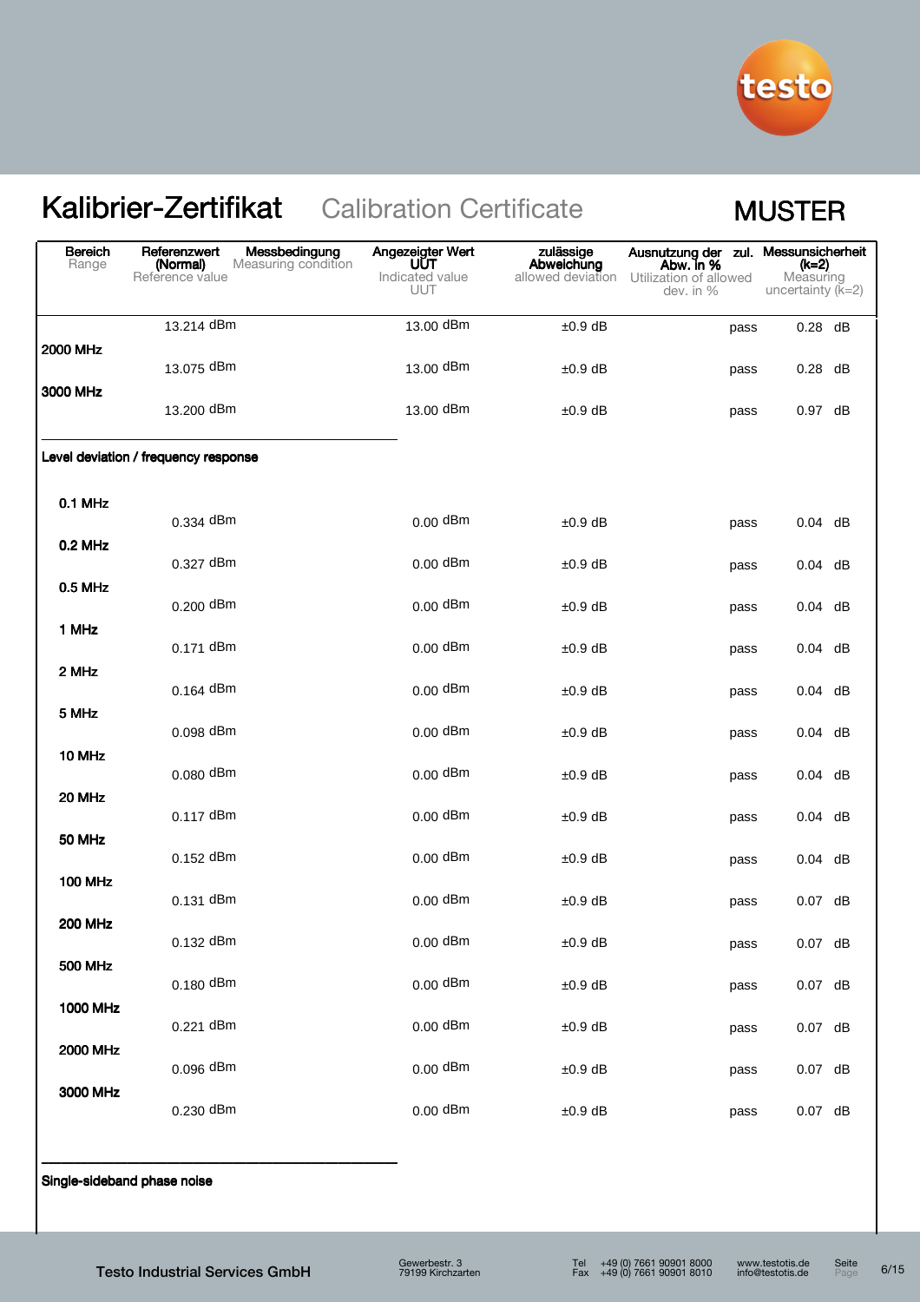

| <b>Bereich</b><br>Range | Messbedingung<br>Referenzwert<br>Measuring condition<br>(Normal)<br>Reference value | Angezeigter Wert<br>UUT<br>Indicated value<br>UUT | zulässige<br>Abweichung<br>allowed deviation | Ausnutzung der zul. Messunsicherheit<br>Abw. in %<br>Utilization of allowed<br>dev. in % | (k=2)<br>Measuring<br>uncertainty $(K=2)$ |
|-------------------------|-------------------------------------------------------------------------------------|---------------------------------------------------|----------------------------------------------|------------------------------------------------------------------------------------------|-------------------------------------------|
|                         | 13.214 dBm                                                                          | 13.00 dBm                                         | $±0.9$ dB                                    | pass                                                                                     | $0.28$ dB                                 |
| 2000 MHz                | 13.075 dBm                                                                          | 13.00 dBm                                         | $±0.9$ dB                                    | pass                                                                                     | $0.28$ dB                                 |
| 3000 MHz                | 13.200 dBm                                                                          | 13.00 dBm                                         | $±0.9$ dB                                    | pass                                                                                     | 0.97 dB                                   |
|                         | Level deviation / frequency response                                                |                                                   |                                              |                                                                                          |                                           |
| 0.1 MHz                 | 0.334 dBm                                                                           | $0.00$ dBm                                        | $±0.9$ dB                                    | pass                                                                                     | $0.04$ dB                                 |
| 0.2 MHz                 | 0.327 dBm                                                                           | $0.00$ dBm                                        | $±0.9$ dB                                    | pass                                                                                     | $0.04$ dB                                 |
| 0.5 MHz                 | 0.200 dBm                                                                           | $0.00$ dBm                                        | $±0.9$ dB                                    | pass                                                                                     | $0.04$ dB                                 |
| 1 MHz                   | 0.171 dBm                                                                           | $0.00$ dBm                                        | $±0.9$ dB                                    | pass                                                                                     | $0.04$ dB                                 |
| 2 MHz                   | $0.164$ dBm                                                                         | $0.00$ dBm                                        | $±0.9$ dB                                    | pass                                                                                     | $0.04$ dB                                 |
| 5 MHz                   | 0.098 dBm                                                                           | $0.00$ dBm                                        | $±0.9$ dB                                    | pass                                                                                     | $0.04$ dB                                 |
| 10 MHz                  | 0.080 dBm                                                                           | $0.00$ dBm                                        | $±0.9$ dB                                    | pass                                                                                     | $0.04$ dB                                 |
| 20 MHz                  | 0.117 dBm                                                                           | $0.00$ dBm                                        | $±0.9$ dB                                    | pass                                                                                     | $0.04$ dB                                 |
| 50 MHz                  | 0.152 dBm                                                                           | $0.00$ dBm                                        | $±0.9$ dB                                    | pass                                                                                     | $0.04$ dB                                 |
| <b>100 MHz</b>          | 0.131 dBm                                                                           | $0.00$ dBm                                        | $±0.9$ dB                                    | pass                                                                                     | $0.07$ dB                                 |
| <b>200 MHz</b>          | 0.132 dBm                                                                           | $0.00$ dBm                                        | $±0.9$ dB                                    | pass                                                                                     | $0.07$ dB                                 |
| <b>500 MHz</b>          | 0.180 dBm                                                                           | $0.00$ dBm                                        | $±0.9$ dB                                    | pass                                                                                     | $0.07$ dB                                 |
| <b>1000 MHz</b>         | 0.221 dBm                                                                           | $0.00$ dBm                                        | $±0.9$ dB                                    | pass                                                                                     | $0.07$ dB                                 |
| <b>2000 MHz</b>         | 0.096 dBm                                                                           | $0.00$ dBm                                        | $±0.9$ dB                                    | pass                                                                                     | $0.07$ dB                                 |
| 3000 MHz                | 0.230 dBm                                                                           | $0.00$ dBm                                        | $±0.9$ dB                                    | pass                                                                                     | $0.07$ dB                                 |

Single-sideband phase noise

\_\_\_\_\_\_\_\_\_\_\_\_\_\_\_\_\_\_\_\_\_\_\_\_\_\_\_\_\_\_\_\_\_\_\_\_\_\_\_\_\_\_\_\_\_\_\_\_\_\_\_\_\_\_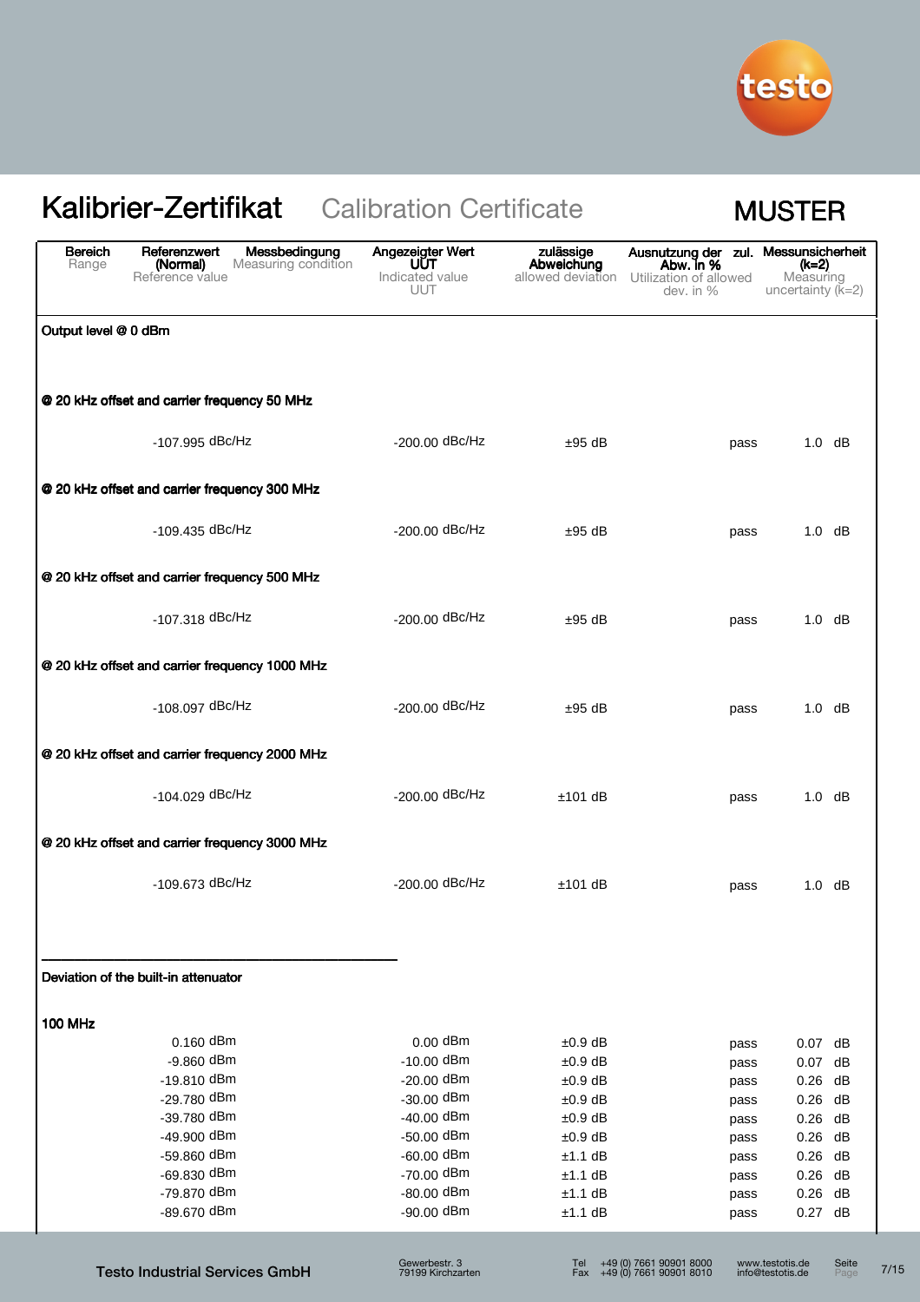

| <b>Bereich</b><br>Range | Messbedingung<br>Referenzwert<br>Measuring condition<br>(Normal)<br>Reference value | Angezeigter Wert<br>UŪT<br>Indicated value<br><b>UUT</b> | zulässige<br>Abweichung<br>allowed deviation | Ausnutzung der zul. Messunsicherheit<br>Abw. in %<br>Utilization of allowed<br>dev. in $%$ | (k=2)<br>Measuring<br>uncertainty $(K=2)$            |
|-------------------------|-------------------------------------------------------------------------------------|----------------------------------------------------------|----------------------------------------------|--------------------------------------------------------------------------------------------|------------------------------------------------------|
| Output level @ 0 dBm    |                                                                                     |                                                          |                                              |                                                                                            |                                                      |
|                         | @ 20 kHz offset and carrier frequency 50 MHz                                        |                                                          |                                              |                                                                                            |                                                      |
|                         | $-107.995$ dBc/Hz                                                                   | $-200.00$ dBc/Hz                                         | $±95$ dB                                     | pass                                                                                       | $1.0$ dB                                             |
|                         | @ 20 kHz offset and carrier frequency 300 MHz                                       |                                                          |                                              |                                                                                            |                                                      |
|                         | $-109.435$ dBc/Hz                                                                   | $-200.00$ dBc/Hz                                         | $±95$ dB                                     | pass                                                                                       | $1.0$ dB                                             |
|                         | @ 20 kHz offset and carrier frequency 500 MHz                                       |                                                          |                                              |                                                                                            |                                                      |
|                         | -107.318 dBc/Hz                                                                     | -200.00 dBc/Hz                                           | $±95$ dB                                     | pass                                                                                       | $1.0$ dB                                             |
|                         | @ 20 kHz offset and carrier frequency 1000 MHz                                      |                                                          |                                              |                                                                                            |                                                      |
|                         | $-108.097$ dBc/Hz                                                                   | $-200.00$ dBc/Hz                                         | $±95$ dB                                     | pass                                                                                       | $1.0$ dB                                             |
|                         | @ 20 kHz offset and carrier frequency 2000 MHz                                      |                                                          |                                              |                                                                                            |                                                      |
|                         | -104.029 dBc/Hz                                                                     | -200.00 dBc/Hz                                           | $±101$ dB                                    | pass                                                                                       | $1.0$ dB                                             |
|                         | @ 20 kHz offset and carrier frequency 3000 MHz                                      |                                                          |                                              |                                                                                            |                                                      |
|                         | -109.673 dBc/Hz                                                                     | $-200.00$ dBc/Hz                                         | $±101$ dB                                    | pass                                                                                       | $1.0$ dB                                             |
|                         | Deviation of the built-in attenuator                                                |                                                          |                                              |                                                                                            |                                                      |
| <b>100 MHz</b>          |                                                                                     |                                                          |                                              |                                                                                            |                                                      |
|                         | $0.160$ dBm                                                                         | $0.00$ dBm                                               | $±0.9$ dB                                    | pass                                                                                       | 0.07 dB                                              |
|                         | -9.860 dBm                                                                          | $-10.00$ dBm                                             | $±0.9$ dB                                    | pass                                                                                       | $0.07$ dB                                            |
|                         | $-19.810$ dBm                                                                       | $-20.00$ dBm                                             | ±0.9 dB                                      | pass                                                                                       | $0.26$ dB                                            |
|                         | -29.780 dBm                                                                         | $-30.00$ dBm                                             | ±0.9 dB                                      | pass                                                                                       | $0.26$ dB                                            |
|                         | $-39.780$ dBm                                                                       | $-40.00$ dBm                                             | $±0.9$ dB                                    | pass                                                                                       | $0.26$ dB                                            |
|                         | -49.900 dBm<br>$-59.860$ dBm                                                        | $-50.00$ dBm<br>$-60.00$ dBm                             | $±0.9$ dB                                    | pass                                                                                       | $0.26$ dB                                            |
|                         | -69.830 dBm                                                                         | $-70.00$ dBm                                             | ±1.1 dB<br>$±1.1$ dB                         | pass                                                                                       | 0.26<br>dB<br>0.26<br>dB                             |
|                         | -79.870 dBm                                                                         | $-80.00$ dBm                                             | $±1.1$ dB                                    | pass<br>pass                                                                               | $0.26$ dB                                            |
|                         | -89.670 dBm                                                                         | $-90.00$ dBm                                             | ±1.1 dB                                      | pass                                                                                       | $0.27$ dB                                            |
|                         | <b>Testo Industrial Services GmbH</b>                                               | Gewerbestr. 3<br>79199 Kirchzarten                       | Tel                                          | +49 (0) 7661 90901 8000<br>Fax $+49(0)$ 7661 90901 8010                                    | www.testotis.de<br>Seite<br>info@testotis.de<br>Page |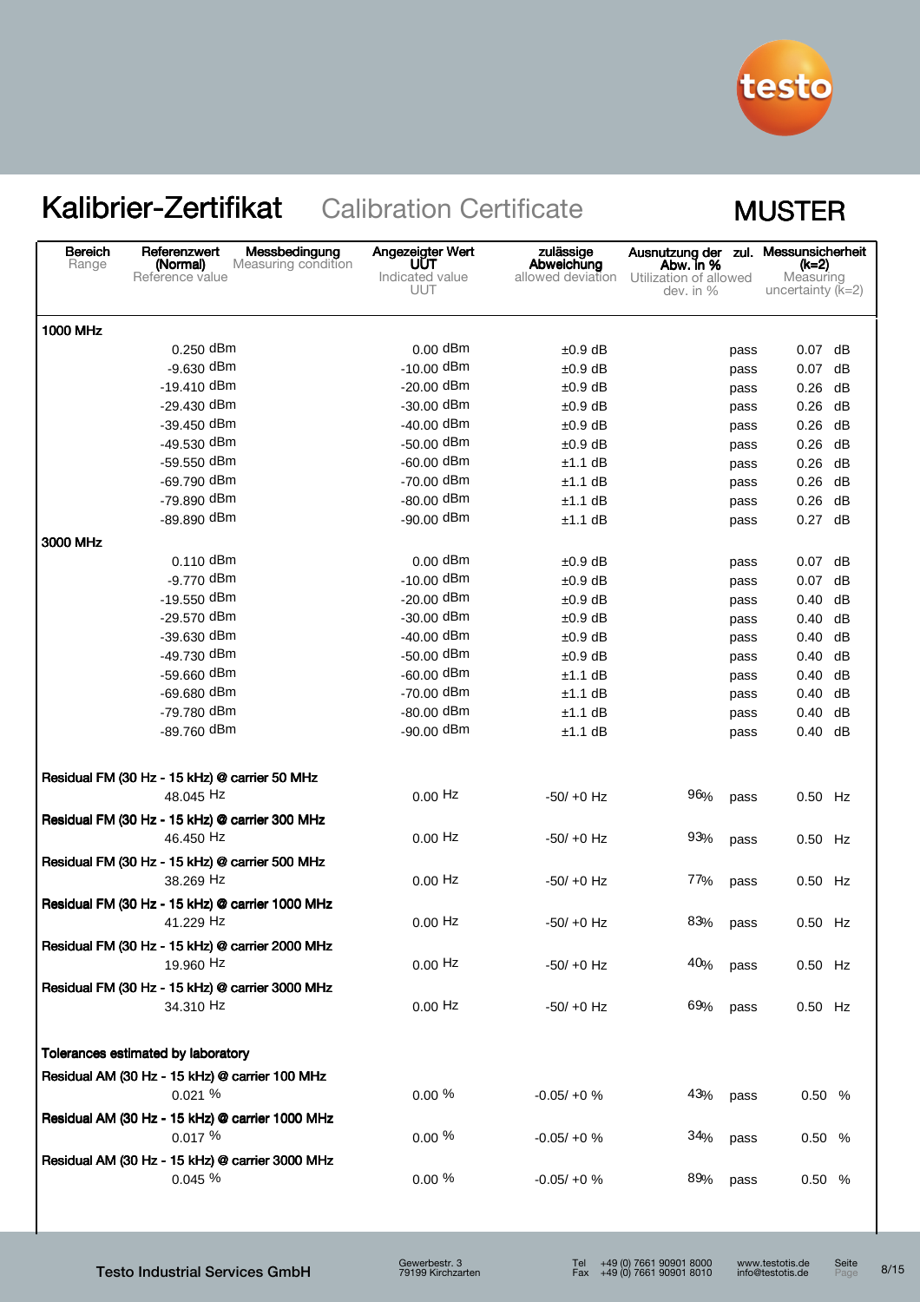

| <b>Bereich</b><br>Referenzwert<br>Range<br>(Normal)<br>Reference value | Messbedingung<br>Measuring condition | Angezeigter Wert<br>UUT<br>Indicated value<br>UUT | zulässige<br>Abweichung<br>allowed deviation | Ausnutzung der zul. Messunsicherheit<br>Abw. in %<br>Utilization of allowed<br>dev. in % | (k=2)<br>Measuring<br>uncertainty $(k=2)$ |
|------------------------------------------------------------------------|--------------------------------------|---------------------------------------------------|----------------------------------------------|------------------------------------------------------------------------------------------|-------------------------------------------|
| <b>1000 MHz</b>                                                        |                                      |                                                   |                                              |                                                                                          |                                           |
| 0.250 dBm                                                              |                                      | $0.00$ dBm                                        | $±0.9$ dB                                    | pass                                                                                     | $0.07$ dB                                 |
| -9.630 dBm                                                             |                                      | $-10.00$ dBm                                      | $±0.9$ dB                                    | pass                                                                                     | $0.07$ dB                                 |
| -19.410 dBm                                                            |                                      | $-20.00$ dBm                                      | $±0.9$ dB                                    | pass                                                                                     | dB<br>0.26                                |
| $-29.430$ dBm                                                          |                                      | -30.00 dBm                                        | $±0.9$ dB                                    | pass                                                                                     | dB<br>0.26                                |
| -39.450 dBm                                                            |                                      | $-40.00$ dBm                                      | $±0.9$ dB                                    | pass                                                                                     | 0.26<br>dB                                |
| -49.530 dBm                                                            |                                      | -50.00 dBm                                        | $±0.9$ dB                                    | pass                                                                                     | 0.26<br>dB                                |
| -59.550 dBm                                                            |                                      | $-60.00$ dBm                                      | $±1.1$ dB                                    | pass                                                                                     | 0.26<br>dB                                |
| -69.790 dBm                                                            |                                      | -70.00 dBm                                        | $±1.1$ dB                                    | pass                                                                                     | 0.26<br>dB                                |
| -79.890 dBm                                                            |                                      | -80.00 dBm                                        | $±1.1$ dB                                    | pass                                                                                     | 0.26<br>dB                                |
| -89.890 dBm                                                            |                                      | -90.00 dBm                                        | $±1.1$ dB                                    | pass                                                                                     | $0.27$ dB                                 |
| 3000 MHz                                                               |                                      |                                                   |                                              |                                                                                          |                                           |
| $0.110$ dBm                                                            |                                      | $0.00$ dBm                                        | $±0.9$ dB                                    | pass                                                                                     | $0.07$ dB                                 |
| -9.770 dBm                                                             |                                      | $-10.00$ dBm                                      | $±0.9$ dB                                    | pass                                                                                     | 0.07<br>dB                                |
| -19.550 dBm                                                            |                                      | $-20.00$ dBm                                      | $±0.9$ dB                                    | pass                                                                                     | 0.40<br>dB                                |
| -29.570 dBm                                                            |                                      | -30.00 dBm                                        | $±0.9$ dB                                    | pass                                                                                     | 0.40<br>dB                                |
| -39.630 dBm                                                            |                                      | $-40.00$ dBm                                      | $±0.9$ dB                                    | pass                                                                                     | 0.40<br>dB                                |
| -49.730 dBm                                                            |                                      | -50.00 dBm                                        | $±0.9$ dB                                    | pass                                                                                     | 0.40<br>dB                                |
| -59.660 dBm                                                            |                                      | $-60.00$ dBm                                      | $±1.1$ dB                                    | pass                                                                                     | dB<br>0.40                                |
| -69.680 dBm                                                            |                                      | -70.00 dBm                                        | $±1.1$ dB                                    | pass                                                                                     | dB<br>0.40                                |
| -79.780 dBm                                                            |                                      | -80.00 dBm                                        | $±1.1$ dB                                    | pass                                                                                     | dB<br>0.40                                |
| -89.760 dBm                                                            |                                      | $-90.00$ dBm                                      | $±1.1$ dB                                    | pass                                                                                     | dB<br>0.40                                |
| Residual FM (30 Hz - 15 kHz) @ carrier 50 MHz<br>48.045 Hz             |                                      | $0.00$ Hz                                         | $-50/ +0$ Hz                                 | 96%<br>pass                                                                              | 0.50 Hz                                   |
| Residual FM (30 Hz - 15 kHz) @ carrier 300 MHz<br>46.450 Hz            |                                      | $0.00$ Hz                                         | $-50/ +0$ Hz                                 | 93%<br>pass                                                                              | 0.50 Hz                                   |
| Residual FM (30 Hz - 15 kHz) @ carrier 500 MHz<br>38.269 Hz            |                                      | $0.00$ Hz                                         | $-50/ +0$ Hz                                 | 77%<br>pass                                                                              | 0.50 Hz                                   |
| Residual FM (30 Hz - 15 kHz) @ carrier 1000 MHz<br>41.229 Hz           |                                      | $0.00$ Hz                                         | $-50/ +0$ Hz                                 | 83%<br>pass                                                                              | 0.50 Hz                                   |
| Residual FM (30 Hz - 15 kHz) @ carrier 2000 MHz<br>19.960 Hz           |                                      | $0.00$ Hz                                         | $-50/ +0$ Hz                                 | 40%<br>pass                                                                              | 0.50 Hz                                   |
| Residual FM (30 Hz - 15 kHz) @ carrier 3000 MHz<br>34.310 Hz           |                                      | $0.00$ Hz                                         | $-50/ +0$ Hz                                 | 69%<br>pass                                                                              | 0.50 Hz                                   |
| Tolerances estimated by laboratory                                     |                                      |                                                   |                                              |                                                                                          |                                           |
| Residual AM (30 Hz - 15 kHz) @ carrier 100 MHz<br>0.021%               |                                      | $0.00\%$                                          | $-0.05/ +0$ %                                | 43%<br>pass                                                                              | 0.50 %                                    |
| Residual AM (30 Hz - 15 kHz) @ carrier 1000 MHz<br>0.017%              |                                      | $0.00\%$                                          | $-0.05/ +0$ %                                | 34%<br>pass                                                                              | 0.50%                                     |
| Residual AM (30 Hz - 15 kHz) @ carrier 3000 MHz<br>0.045 %             |                                      | $0.00 \%$                                         | $-0.05/ +0$ %                                | 89%<br>pass                                                                              | 0.50%                                     |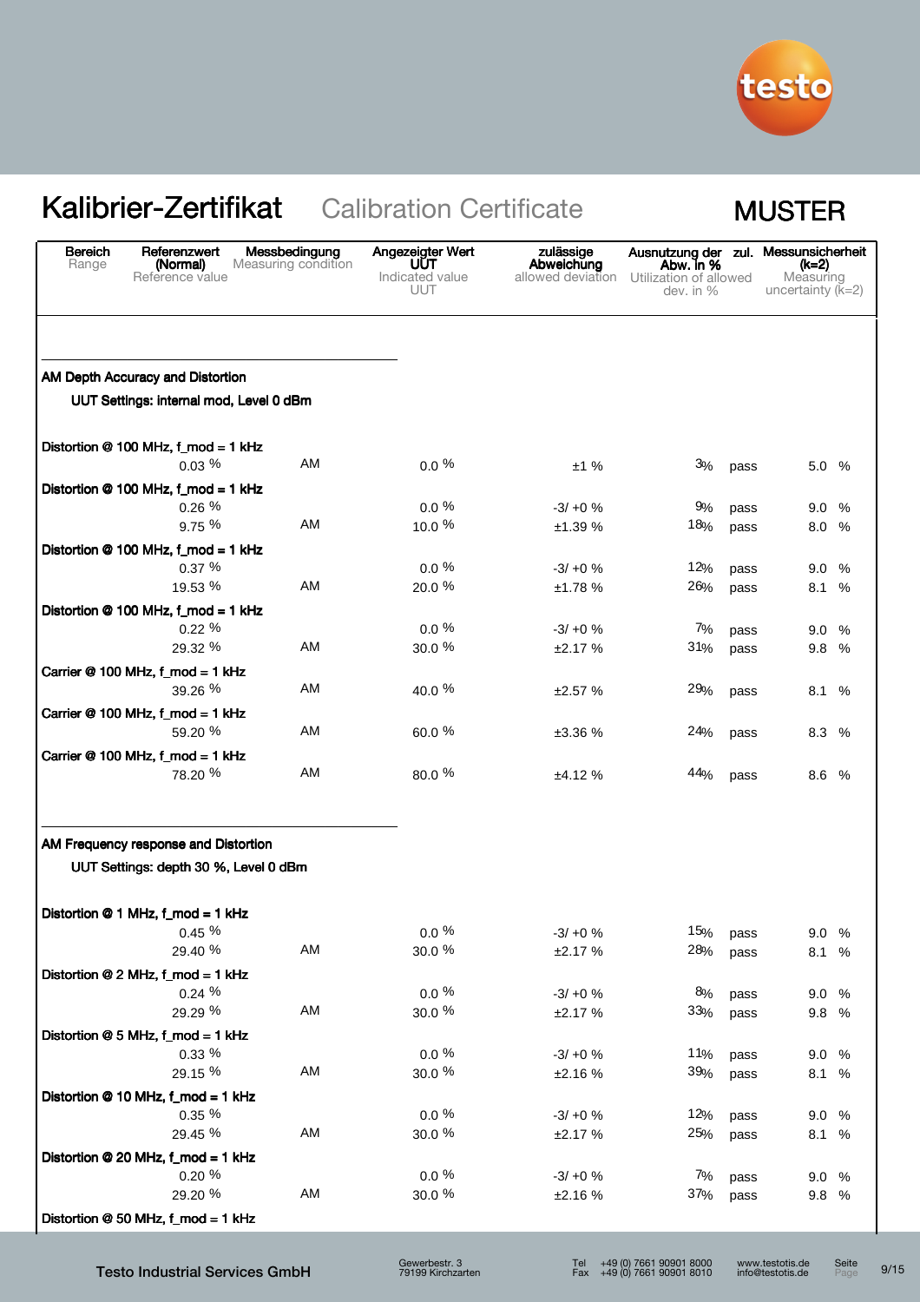

| <b>Bereich</b><br>Range | Referenzwert<br>(Normal)<br>Reference value                                 | Messbedingung<br>Measuring condition | Angezeigter Wert<br>UUT<br>Indicated value<br><b>UUT</b> | zulässige<br>Abweichung<br>allowed deviation | Ausnutzung der zul.<br>Abw. in %<br>Utilization of allowed<br>dev. in % |      | Messunsicherheit<br>(k=2)<br>Measuring<br>uncertainty $(k=2)$ |      |
|-------------------------|-----------------------------------------------------------------------------|--------------------------------------|----------------------------------------------------------|----------------------------------------------|-------------------------------------------------------------------------|------|---------------------------------------------------------------|------|
|                         |                                                                             |                                      |                                                          |                                              |                                                                         |      |                                                               |      |
|                         | AM Depth Accuracy and Distortion<br>UUT Settings: internal mod, Level 0 dBm |                                      |                                                          |                                              |                                                                         |      |                                                               |      |
|                         | Distortion @ 100 MHz, f_mod = 1 kHz                                         |                                      |                                                          |                                              |                                                                         |      |                                                               |      |
|                         | 0.03%                                                                       | AM                                   | $0.0\%$                                                  | ±1%                                          | 3%                                                                      | pass | 5.0 %                                                         |      |
|                         | Distortion @ 100 MHz, f_mod = 1 kHz                                         |                                      |                                                          |                                              |                                                                         |      |                                                               |      |
|                         | 0.26%                                                                       |                                      | $0.0 \%$                                                 | $-3/ +0$ %                                   | 9%                                                                      | pass | 9.0                                                           | %    |
|                         | 9.75 %                                                                      | AM                                   | 10.0 %                                                   | ±1.39 %                                      | 18%                                                                     | pass | 8.0 %                                                         |      |
|                         | Distortion @ 100 MHz, f_mod = 1 kHz                                         |                                      |                                                          |                                              |                                                                         |      |                                                               |      |
|                         | 0.37%                                                                       |                                      | $0.0 \%$                                                 | $-3/ +0$ %                                   | 12%                                                                     | pass | 9.0%                                                          |      |
|                         | 19.53 %                                                                     | AM                                   | 20.0 %                                                   | ±1.78%                                       | 26%                                                                     | pass | 8.1 %                                                         |      |
|                         | Distortion @ 100 MHz, f_mod = 1 kHz                                         |                                      |                                                          |                                              |                                                                         |      |                                                               |      |
|                         | 0.22%                                                                       |                                      | $0.0 \%$                                                 | $-3/ +0$ %                                   | 7%                                                                      | pass | 9.0                                                           | $\%$ |
|                         | 29.32 %                                                                     | AM                                   | 30.0 %                                                   | ±2.17%                                       | 31%                                                                     | pass | 9.8 %                                                         |      |
|                         | Carrier @ 100 MHz, f_mod = 1 kHz                                            |                                      |                                                          |                                              |                                                                         |      |                                                               |      |
|                         | 39.26 %                                                                     | AM                                   | 40.0 %                                                   | ±2.57%                                       | 29%                                                                     | pass | 8.1 %                                                         |      |
|                         | Carrier @ 100 MHz, f_mod = 1 kHz                                            |                                      |                                                          |                                              |                                                                         |      |                                                               |      |
|                         | 59.20 %                                                                     | AM                                   | 60.0 %                                                   | ±3.36 %                                      | 24%                                                                     | pass | 8.3 %                                                         |      |
|                         | Carrier @ 100 MHz, f_mod = 1 kHz                                            |                                      |                                                          |                                              |                                                                         |      |                                                               |      |
|                         | 78.20 %                                                                     | AM                                   | 80.0 %                                                   | ±4.12%                                       | 44%                                                                     | pass | 8.6 %                                                         |      |
|                         |                                                                             |                                      |                                                          |                                              |                                                                         |      |                                                               |      |
|                         | AM Frequency response and Distortion                                        |                                      |                                                          |                                              |                                                                         |      |                                                               |      |
|                         | UUT Settings: depth 30 %, Level 0 dBm                                       |                                      |                                                          |                                              |                                                                         |      |                                                               |      |
|                         | Distortion @ 1 MHz, f_mod = 1 kHz                                           |                                      |                                                          |                                              |                                                                         |      |                                                               |      |
|                         | 0.45%                                                                       |                                      | $0.0\ \%$                                                | $-3/ +0$ %                                   | 15%                                                                     | pass | 9.0 %                                                         |      |
|                         | 29.40 %                                                                     | AM                                   | 30.0 %                                                   | ±2.17%                                       | 28%                                                                     | pass | 8.1 %                                                         |      |
|                         | Distortion @ 2 MHz, f_mod = 1 kHz                                           |                                      |                                                          |                                              |                                                                         |      |                                                               |      |
|                         | 0.24%                                                                       |                                      | $0.0 \%$                                                 | $-3/ +0$ %                                   | 8%                                                                      | pass | 9.0 %                                                         |      |
|                         | 29.29 %                                                                     | AM                                   | 30.0 %                                                   | ±2.17%                                       | 33%                                                                     | pass | 9.8 %                                                         |      |
|                         | Distortion @ 5 MHz, f_mod = 1 kHz                                           |                                      |                                                          |                                              |                                                                         |      |                                                               |      |
|                         | $0.33\%$                                                                    |                                      | $0.0 \%$                                                 | $-3/ +0$ %                                   | 11%                                                                     | pass | 9.0 %                                                         |      |
|                         | 29.15 %                                                                     | AM                                   | 30.0 %                                                   | ±2.16%                                       | 39%                                                                     | pass | 8.1 %                                                         |      |
|                         | Distortion @ 10 MHz, f_mod = 1 kHz                                          |                                      |                                                          |                                              |                                                                         |      |                                                               |      |
|                         | $0.35 \%$                                                                   |                                      | $0.0\%$                                                  | $-3/ +0$ %                                   | 12%                                                                     | pass | 9.0 %                                                         |      |
|                         | 29.45 %                                                                     | AM                                   | 30.0 %                                                   | ±2.17%                                       | 25%                                                                     | pass | 8.1 %                                                         |      |
|                         | Distortion @ 20 MHz, f_mod = 1 kHz                                          |                                      |                                                          |                                              |                                                                         |      |                                                               |      |
|                         | $0.20 \%$                                                                   |                                      | $0.0\%$                                                  | $-3/ +0$ %                                   | 7%                                                                      | pass | 9.0 %                                                         |      |
|                         | 29.20 %                                                                     | AM                                   | 30.0 %                                                   | ±2.16%                                       | 37%                                                                     | pass | 9.8 %                                                         |      |
|                         | Distortion @ 50 MHz, f_mod = 1 kHz                                          |                                      |                                                          |                                              |                                                                         |      |                                                               |      |

Testo Industrial Services GmbH

Seite 9/15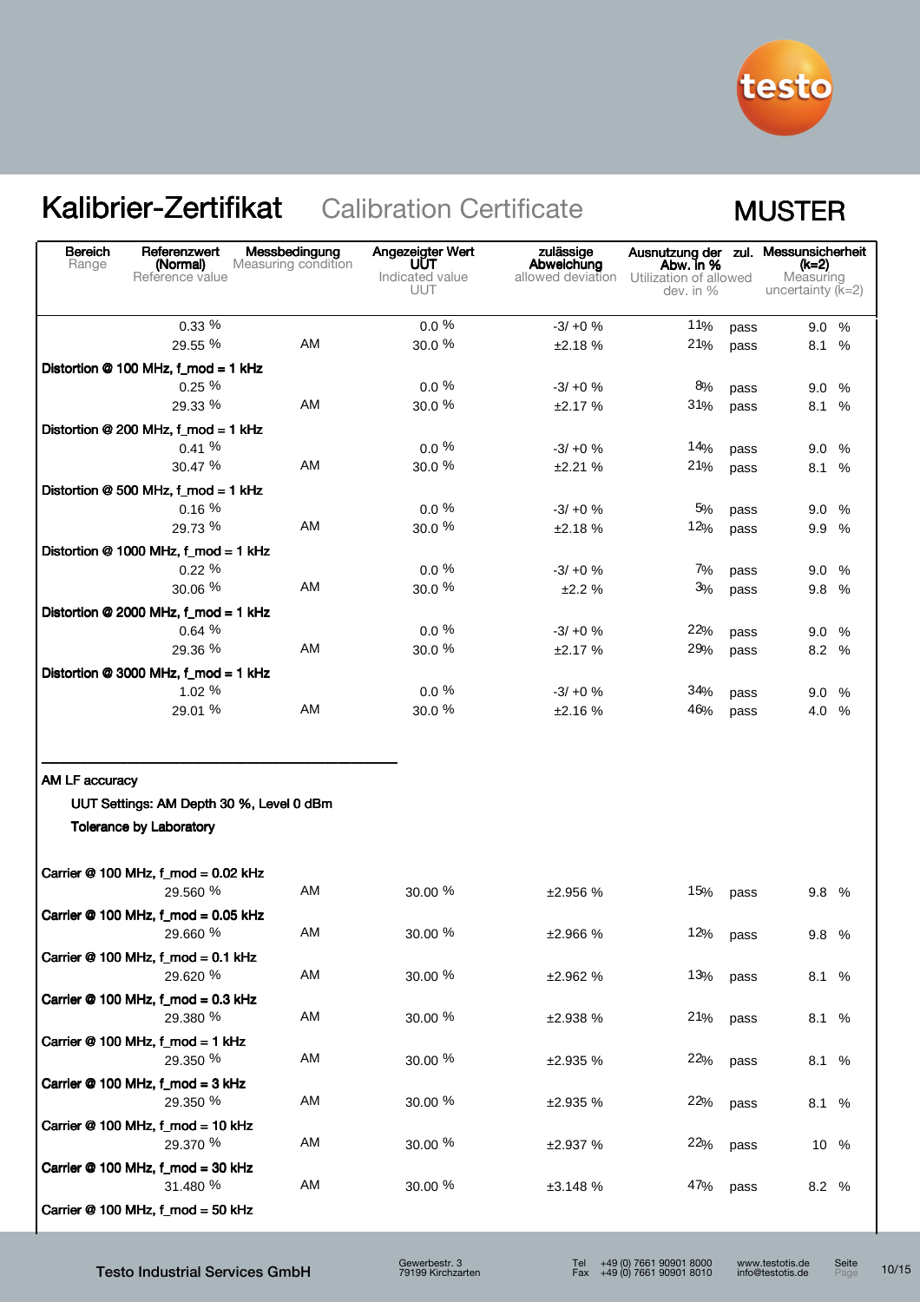

| <b>Bereich</b><br>Range | Referenzwert<br>(Normal)<br>Reference value                                | Messbedingung<br>Measuring condition | Angezeigter Wert<br>UUT<br>Indicated value<br><b>UUT</b> | zulässige<br>Abweichung<br>allowed deviation | Ausnutzung der zul. Messunsicherheit<br>Abw. in %<br>Utilization of allowed<br>dev. in % |              | (k=2)<br>Measuring<br>uncertainty $(\bar{k}=2)$ |      |
|-------------------------|----------------------------------------------------------------------------|--------------------------------------|----------------------------------------------------------|----------------------------------------------|------------------------------------------------------------------------------------------|--------------|-------------------------------------------------|------|
|                         | $0.33\%$                                                                   |                                      | $0.0 \%$                                                 | $-3/ +0$ %                                   | 11%                                                                                      | pass         | 9.0%                                            |      |
|                         | 29.55 %                                                                    | AM                                   | 30.0 %                                                   | ±2.18%                                       | 21%                                                                                      | pass         | 8.1                                             | $\%$ |
|                         | Distortion @ 100 MHz, f_mod = 1 kHz                                        |                                      |                                                          |                                              |                                                                                          |              |                                                 |      |
|                         | $0.25 \%$                                                                  |                                      | $0.0 \%$                                                 | $-3/ +0$ %                                   | 8%                                                                                       | pass         | 9.0                                             | $\%$ |
|                         | 29.33 %                                                                    | AM                                   | 30.0 %                                                   | ±2.17%                                       | 31%                                                                                      | pass         | 8.1                                             | %    |
|                         | Distortion @ 200 MHz, f_mod = 1 kHz                                        |                                      |                                                          |                                              |                                                                                          |              |                                                 |      |
|                         | 0.41%                                                                      |                                      | $0.0\ \%$                                                | $-3/ +0$ %                                   | 14%                                                                                      | pass         | 9.0 %                                           |      |
|                         | 30.47 %                                                                    | AM                                   | 30.0 %                                                   | ±2.21%                                       | 21%                                                                                      | pass         | 8.1                                             | %    |
|                         | Distortion @ 500 MHz, f_mod = 1 kHz                                        |                                      |                                                          |                                              |                                                                                          |              |                                                 |      |
|                         | 0.16%                                                                      | AM                                   | $0.0 \%$                                                 | $-3/ +0$ %                                   | 5%                                                                                       | pass         | 9.0 %                                           |      |
|                         | 29.73 %                                                                    |                                      | 30.0 %                                                   | ±2.18%                                       | 12%                                                                                      | pass         | 9.9 %                                           |      |
|                         | Distortion @ 1000 MHz, f_mod = 1 kHz                                       |                                      |                                                          |                                              |                                                                                          |              |                                                 |      |
|                         | 0.22%<br>30.06%                                                            | AM                                   | $0.0 \%$<br>30.0 %                                       | $-3/ +0$ %                                   | 7%<br>3%                                                                                 | pass         | 9.0                                             | %    |
|                         |                                                                            |                                      |                                                          | ±2.2%                                        |                                                                                          | pass         | 9.8 %                                           |      |
|                         | Distortion @ 2000 MHz, f_mod = 1 kHz                                       |                                      | $0.0 \%$                                                 |                                              |                                                                                          |              |                                                 |      |
|                         | 0.64%<br>29.36 %                                                           | AM                                   | 30.0 %                                                   | $-3/ +0$ %<br>±2.17%                         | 22%<br>29%                                                                               | pass         | 9.0%<br>8.2 %                                   |      |
|                         |                                                                            |                                      |                                                          |                                              |                                                                                          | pass         |                                                 |      |
|                         | Distortion @ 3000 MHz, f_mod = 1 kHz<br>1.02%                              |                                      | $0.0 \%$                                                 | $-3/ +0$ %                                   | 34%                                                                                      |              |                                                 |      |
|                         | 29.01 %                                                                    | AM                                   | 30.0 %                                                   | ±2.16%                                       | 46%                                                                                      | pass<br>pass | 9.0%<br>4.0 %                                   |      |
| AM LF accuracy          | UUT Settings: AM Depth 30 %, Level 0 dBm<br><b>Tolerance by Laboratory</b> |                                      |                                                          |                                              |                                                                                          |              |                                                 |      |
|                         | Carrier @ 100 MHz, f_mod = 0.02 kHz<br>29.560 %                            | AM                                   | 30.00 %                                                  | ±2.956%                                      | 15%                                                                                      | pass         | 9.8 %                                           |      |
|                         | Carrier @ 100 MHz, f_mod = 0.05 kHz<br>29.660 %                            | AM                                   | $30.00\text{ }\%$                                        | ±2.966 %                                     | 12%                                                                                      | pass         | 9.8 %                                           |      |
|                         | Carrier $@$ 100 MHz, f_mod = 0.1 kHz<br>29.620 %                           | AM                                   | 30.00 %                                                  | ±2.962 %                                     | 13%                                                                                      | pass         | 8.1 %                                           |      |
|                         | Carrier @ 100 MHz, f_mod = 0.3 kHz<br>29.380 %                             | AM                                   | 30.00 %                                                  | ±2.938 %                                     | 21%                                                                                      | pass         | 8.1 %                                           |      |
|                         | Carrier @ 100 MHz, f_mod = 1 kHz<br>29.350 %                               | AM                                   | 30.00 %                                                  | ±2.935 %                                     | 22%                                                                                      | pass         | 8.1 %                                           |      |
|                         | Carrier @ 100 MHz, f_mod = 3 kHz<br>29.350 %                               | AM                                   | 30.00 %                                                  | ±2.935 %                                     | 22%                                                                                      | pass         | 8.1 %                                           |      |
|                         | Carrier @ 100 MHz, f_mod = 10 kHz<br>29.370 %                              | AM                                   | 30.00 %                                                  | ±2.937%                                      | 22%                                                                                      | pass         | 10 %                                            |      |
|                         | Carrier @ 100 MHz, f_mod = 30 kHz<br>31.480 %                              | AM                                   | 30.00 %                                                  | ±3.148%                                      | 47%                                                                                      | pass         | 8.2 %                                           |      |
|                         | Carrier @ 100 MHz, f_mod = 50 kHz                                          |                                      |                                                          |                                              |                                                                                          |              |                                                 |      |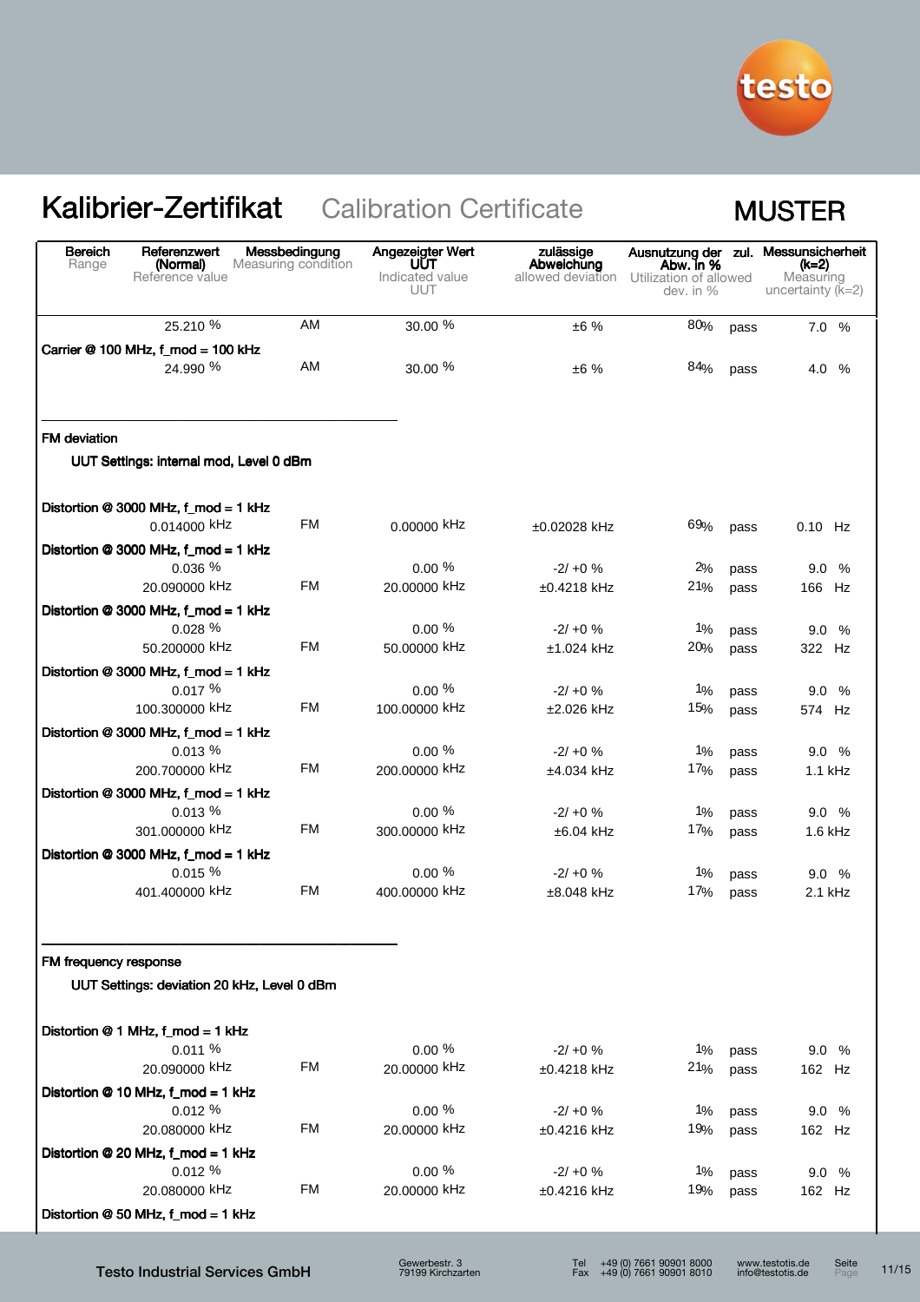

| AM<br>25.210 %<br>30.00 %<br>80%<br>±6%<br>pass<br>Carrier @ 100 MHz, f_mod = 100 kHz<br>AM<br>24.990 %<br>30.00 %<br>84%<br>±6%<br>pass<br><b>FM</b> deviation<br>UUT Settings: internal mod, Level 0 dBm<br>Distortion @ 3000 MHz, f_mod = 1 kHz<br>FM<br>0.00000 kHz<br>0.014000 kHz<br>69%<br>$±0.02028$ kHz<br>pass<br>Distortion @ 3000 MHz, f_mod = 1 kHz<br>$0.00 \%$<br>0.036%<br>$-2/ +0$ %<br>2%<br>pass<br><b>FM</b><br>20.090000 kHz<br>20.00000 kHz<br>21%<br>$±0.4218$ kHz<br>166 Hz<br>pass<br>Distortion @ 3000 MHz, f_mod = 1 kHz<br>0.00%<br>0.028 %<br>$-2/ +0$ %<br>$1\%$<br>9.0 %<br>pass<br><b>FM</b><br>50.200000 kHz<br>50.00000 kHz<br>20%<br>$±1.024$ kHz<br>322 Hz<br>pass<br>Distortion @ 3000 MHz, f_mod = 1 kHz<br>0.017%<br>$0.00 \%$<br>1%<br>$-2/10 \%$<br>pass<br><b>FM</b><br>100.300000 kHz<br>100.00000 kHz<br>15%<br>$±2.026$ kHz<br>pass<br>Distortion @ 3000 MHz, f_mod = 1 kHz<br>0.013%<br>$0.00 \%$<br>1%<br>$-2/ +0$ %<br>pass<br><b>FM</b><br>200.700000 kHz<br>200.00000 kHz<br>17%<br>$±4.034$ kHz<br>pass<br>Distortion @ 3000 MHz, f_mod = 1 kHz<br>$0.00 \%$<br>0.013%<br>$-2/ +0$ %<br>$1\%$<br>pass<br><b>FM</b><br>301.000000 kHz<br>300,00000 kHz<br>17%<br>$±6.04$ kHz<br>pass<br>Distortion @ 3000 MHz, f_mod = 1 kHz<br>0.015%<br>$0.00 \%$<br>$1\%$<br>$-2/ +0$ %<br>9.0%<br>pass<br><b>FM</b><br>401.400000 kHz<br>400.00000 kHz<br>$±8.048$ kHz<br>17%<br>pass<br>FM frequency response<br>UUT Settings: deviation 20 kHz, Level 0 dBm<br>Distortion @ 1 MHz, f_mod = 1 kHz<br>$0.00 \%$<br>0.011%<br>$-2/ +0$ %<br>1%<br>9.0 %<br>pass<br><b>FM</b><br>20.090000 kHz<br>20,00000 kHz<br>21%<br>162 Hz<br>±0.4218 kHz<br>pass<br>Distortion @ 10 MHz, f_mod = 1 kHz<br>$0.00 \%$<br>0.012%<br>1%<br>$-2/ +0$ %<br>9.0 %<br>pass<br><b>FM</b><br>20.080000 kHz<br>20.00000 kHz<br>19%<br>±0.4216 kHz<br>pass<br>Distortion @ 20 MHz, f_mod = 1 kHz<br>$0.00 \%$<br>0.012%<br>$-2/ +0$ %<br>$1\%$<br>pass | <b>Bereich</b><br>Range | Referenzwert<br>(Normal)<br>Reference value | Messbedingung<br>Measuring condition | Angezeigter Wert<br>UUT<br>Indicated value | zulässige<br>Abweichung<br>allowed deviation | Abw. in %<br>Utilization of allowed |      | Ausnutzung der zul. Messunsicherheit<br>(k=2)<br>Measuring |
|----------------------------------------------------------------------------------------------------------------------------------------------------------------------------------------------------------------------------------------------------------------------------------------------------------------------------------------------------------------------------------------------------------------------------------------------------------------------------------------------------------------------------------------------------------------------------------------------------------------------------------------------------------------------------------------------------------------------------------------------------------------------------------------------------------------------------------------------------------------------------------------------------------------------------------------------------------------------------------------------------------------------------------------------------------------------------------------------------------------------------------------------------------------------------------------------------------------------------------------------------------------------------------------------------------------------------------------------------------------------------------------------------------------------------------------------------------------------------------------------------------------------------------------------------------------------------------------------------------------------------------------------------------------------------------------------------------------------------------------------------------------------------------------------------------------------------------------------------------------------------------------------------------------------------------------------------------------------|-------------------------|---------------------------------------------|--------------------------------------|--------------------------------------------|----------------------------------------------|-------------------------------------|------|------------------------------------------------------------|
|                                                                                                                                                                                                                                                                                                                                                                                                                                                                                                                                                                                                                                                                                                                                                                                                                                                                                                                                                                                                                                                                                                                                                                                                                                                                                                                                                                                                                                                                                                                                                                                                                                                                                                                                                                                                                                                                                                                                                                      |                         |                                             |                                      | UUT                                        |                                              | dev. in %                           |      | uncertainty $(K=2)$                                        |
|                                                                                                                                                                                                                                                                                                                                                                                                                                                                                                                                                                                                                                                                                                                                                                                                                                                                                                                                                                                                                                                                                                                                                                                                                                                                                                                                                                                                                                                                                                                                                                                                                                                                                                                                                                                                                                                                                                                                                                      |                         |                                             |                                      |                                            |                                              |                                     |      | 7.0 %                                                      |
|                                                                                                                                                                                                                                                                                                                                                                                                                                                                                                                                                                                                                                                                                                                                                                                                                                                                                                                                                                                                                                                                                                                                                                                                                                                                                                                                                                                                                                                                                                                                                                                                                                                                                                                                                                                                                                                                                                                                                                      |                         |                                             |                                      |                                            |                                              |                                     |      |                                                            |
|                                                                                                                                                                                                                                                                                                                                                                                                                                                                                                                                                                                                                                                                                                                                                                                                                                                                                                                                                                                                                                                                                                                                                                                                                                                                                                                                                                                                                                                                                                                                                                                                                                                                                                                                                                                                                                                                                                                                                                      |                         |                                             |                                      |                                            |                                              |                                     |      | 4.0 %                                                      |
|                                                                                                                                                                                                                                                                                                                                                                                                                                                                                                                                                                                                                                                                                                                                                                                                                                                                                                                                                                                                                                                                                                                                                                                                                                                                                                                                                                                                                                                                                                                                                                                                                                                                                                                                                                                                                                                                                                                                                                      |                         |                                             |                                      |                                            |                                              |                                     |      |                                                            |
|                                                                                                                                                                                                                                                                                                                                                                                                                                                                                                                                                                                                                                                                                                                                                                                                                                                                                                                                                                                                                                                                                                                                                                                                                                                                                                                                                                                                                                                                                                                                                                                                                                                                                                                                                                                                                                                                                                                                                                      |                         |                                             |                                      |                                            |                                              |                                     |      |                                                            |
|                                                                                                                                                                                                                                                                                                                                                                                                                                                                                                                                                                                                                                                                                                                                                                                                                                                                                                                                                                                                                                                                                                                                                                                                                                                                                                                                                                                                                                                                                                                                                                                                                                                                                                                                                                                                                                                                                                                                                                      |                         |                                             |                                      |                                            |                                              |                                     |      | $0.10$ Hz                                                  |
|                                                                                                                                                                                                                                                                                                                                                                                                                                                                                                                                                                                                                                                                                                                                                                                                                                                                                                                                                                                                                                                                                                                                                                                                                                                                                                                                                                                                                                                                                                                                                                                                                                                                                                                                                                                                                                                                                                                                                                      |                         |                                             |                                      |                                            |                                              |                                     |      |                                                            |
|                                                                                                                                                                                                                                                                                                                                                                                                                                                                                                                                                                                                                                                                                                                                                                                                                                                                                                                                                                                                                                                                                                                                                                                                                                                                                                                                                                                                                                                                                                                                                                                                                                                                                                                                                                                                                                                                                                                                                                      |                         |                                             |                                      |                                            |                                              |                                     |      | 9.0%                                                       |
|                                                                                                                                                                                                                                                                                                                                                                                                                                                                                                                                                                                                                                                                                                                                                                                                                                                                                                                                                                                                                                                                                                                                                                                                                                                                                                                                                                                                                                                                                                                                                                                                                                                                                                                                                                                                                                                                                                                                                                      |                         |                                             |                                      |                                            |                                              |                                     |      |                                                            |
|                                                                                                                                                                                                                                                                                                                                                                                                                                                                                                                                                                                                                                                                                                                                                                                                                                                                                                                                                                                                                                                                                                                                                                                                                                                                                                                                                                                                                                                                                                                                                                                                                                                                                                                                                                                                                                                                                                                                                                      |                         |                                             |                                      |                                            |                                              |                                     |      |                                                            |
|                                                                                                                                                                                                                                                                                                                                                                                                                                                                                                                                                                                                                                                                                                                                                                                                                                                                                                                                                                                                                                                                                                                                                                                                                                                                                                                                                                                                                                                                                                                                                                                                                                                                                                                                                                                                                                                                                                                                                                      |                         |                                             |                                      |                                            |                                              |                                     |      |                                                            |
|                                                                                                                                                                                                                                                                                                                                                                                                                                                                                                                                                                                                                                                                                                                                                                                                                                                                                                                                                                                                                                                                                                                                                                                                                                                                                                                                                                                                                                                                                                                                                                                                                                                                                                                                                                                                                                                                                                                                                                      |                         |                                             |                                      |                                            |                                              |                                     |      |                                                            |
|                                                                                                                                                                                                                                                                                                                                                                                                                                                                                                                                                                                                                                                                                                                                                                                                                                                                                                                                                                                                                                                                                                                                                                                                                                                                                                                                                                                                                                                                                                                                                                                                                                                                                                                                                                                                                                                                                                                                                                      |                         |                                             |                                      |                                            |                                              |                                     |      | 9.0%                                                       |
|                                                                                                                                                                                                                                                                                                                                                                                                                                                                                                                                                                                                                                                                                                                                                                                                                                                                                                                                                                                                                                                                                                                                                                                                                                                                                                                                                                                                                                                                                                                                                                                                                                                                                                                                                                                                                                                                                                                                                                      |                         |                                             |                                      |                                            |                                              |                                     |      | 574 Hz                                                     |
|                                                                                                                                                                                                                                                                                                                                                                                                                                                                                                                                                                                                                                                                                                                                                                                                                                                                                                                                                                                                                                                                                                                                                                                                                                                                                                                                                                                                                                                                                                                                                                                                                                                                                                                                                                                                                                                                                                                                                                      |                         |                                             |                                      |                                            |                                              |                                     |      |                                                            |
|                                                                                                                                                                                                                                                                                                                                                                                                                                                                                                                                                                                                                                                                                                                                                                                                                                                                                                                                                                                                                                                                                                                                                                                                                                                                                                                                                                                                                                                                                                                                                                                                                                                                                                                                                                                                                                                                                                                                                                      |                         |                                             |                                      |                                            |                                              |                                     |      | 9.0%                                                       |
|                                                                                                                                                                                                                                                                                                                                                                                                                                                                                                                                                                                                                                                                                                                                                                                                                                                                                                                                                                                                                                                                                                                                                                                                                                                                                                                                                                                                                                                                                                                                                                                                                                                                                                                                                                                                                                                                                                                                                                      |                         |                                             |                                      |                                            |                                              |                                     |      | 1.1 kHz                                                    |
|                                                                                                                                                                                                                                                                                                                                                                                                                                                                                                                                                                                                                                                                                                                                                                                                                                                                                                                                                                                                                                                                                                                                                                                                                                                                                                                                                                                                                                                                                                                                                                                                                                                                                                                                                                                                                                                                                                                                                                      |                         |                                             |                                      |                                            |                                              |                                     |      |                                                            |
|                                                                                                                                                                                                                                                                                                                                                                                                                                                                                                                                                                                                                                                                                                                                                                                                                                                                                                                                                                                                                                                                                                                                                                                                                                                                                                                                                                                                                                                                                                                                                                                                                                                                                                                                                                                                                                                                                                                                                                      |                         |                                             |                                      |                                            |                                              |                                     |      | 9.0%                                                       |
|                                                                                                                                                                                                                                                                                                                                                                                                                                                                                                                                                                                                                                                                                                                                                                                                                                                                                                                                                                                                                                                                                                                                                                                                                                                                                                                                                                                                                                                                                                                                                                                                                                                                                                                                                                                                                                                                                                                                                                      |                         |                                             |                                      |                                            |                                              |                                     |      | 1.6 kHz                                                    |
|                                                                                                                                                                                                                                                                                                                                                                                                                                                                                                                                                                                                                                                                                                                                                                                                                                                                                                                                                                                                                                                                                                                                                                                                                                                                                                                                                                                                                                                                                                                                                                                                                                                                                                                                                                                                                                                                                                                                                                      |                         |                                             |                                      |                                            |                                              |                                     |      |                                                            |
|                                                                                                                                                                                                                                                                                                                                                                                                                                                                                                                                                                                                                                                                                                                                                                                                                                                                                                                                                                                                                                                                                                                                                                                                                                                                                                                                                                                                                                                                                                                                                                                                                                                                                                                                                                                                                                                                                                                                                                      |                         |                                             |                                      |                                            |                                              |                                     |      | 2.1 kHz                                                    |
|                                                                                                                                                                                                                                                                                                                                                                                                                                                                                                                                                                                                                                                                                                                                                                                                                                                                                                                                                                                                                                                                                                                                                                                                                                                                                                                                                                                                                                                                                                                                                                                                                                                                                                                                                                                                                                                                                                                                                                      |                         |                                             |                                      |                                            |                                              |                                     |      |                                                            |
|                                                                                                                                                                                                                                                                                                                                                                                                                                                                                                                                                                                                                                                                                                                                                                                                                                                                                                                                                                                                                                                                                                                                                                                                                                                                                                                                                                                                                                                                                                                                                                                                                                                                                                                                                                                                                                                                                                                                                                      |                         |                                             |                                      |                                            |                                              |                                     |      |                                                            |
|                                                                                                                                                                                                                                                                                                                                                                                                                                                                                                                                                                                                                                                                                                                                                                                                                                                                                                                                                                                                                                                                                                                                                                                                                                                                                                                                                                                                                                                                                                                                                                                                                                                                                                                                                                                                                                                                                                                                                                      |                         |                                             |                                      |                                            |                                              |                                     |      |                                                            |
|                                                                                                                                                                                                                                                                                                                                                                                                                                                                                                                                                                                                                                                                                                                                                                                                                                                                                                                                                                                                                                                                                                                                                                                                                                                                                                                                                                                                                                                                                                                                                                                                                                                                                                                                                                                                                                                                                                                                                                      |                         |                                             |                                      |                                            |                                              |                                     |      |                                                            |
|                                                                                                                                                                                                                                                                                                                                                                                                                                                                                                                                                                                                                                                                                                                                                                                                                                                                                                                                                                                                                                                                                                                                                                                                                                                                                                                                                                                                                                                                                                                                                                                                                                                                                                                                                                                                                                                                                                                                                                      |                         |                                             |                                      |                                            |                                              |                                     |      |                                                            |
|                                                                                                                                                                                                                                                                                                                                                                                                                                                                                                                                                                                                                                                                                                                                                                                                                                                                                                                                                                                                                                                                                                                                                                                                                                                                                                                                                                                                                                                                                                                                                                                                                                                                                                                                                                                                                                                                                                                                                                      |                         |                                             |                                      |                                            |                                              |                                     |      |                                                            |
|                                                                                                                                                                                                                                                                                                                                                                                                                                                                                                                                                                                                                                                                                                                                                                                                                                                                                                                                                                                                                                                                                                                                                                                                                                                                                                                                                                                                                                                                                                                                                                                                                                                                                                                                                                                                                                                                                                                                                                      |                         |                                             |                                      |                                            |                                              |                                     |      |                                                            |
|                                                                                                                                                                                                                                                                                                                                                                                                                                                                                                                                                                                                                                                                                                                                                                                                                                                                                                                                                                                                                                                                                                                                                                                                                                                                                                                                                                                                                                                                                                                                                                                                                                                                                                                                                                                                                                                                                                                                                                      |                         |                                             |                                      |                                            |                                              |                                     |      | 162 Hz                                                     |
|                                                                                                                                                                                                                                                                                                                                                                                                                                                                                                                                                                                                                                                                                                                                                                                                                                                                                                                                                                                                                                                                                                                                                                                                                                                                                                                                                                                                                                                                                                                                                                                                                                                                                                                                                                                                                                                                                                                                                                      |                         |                                             |                                      |                                            |                                              |                                     |      |                                                            |
|                                                                                                                                                                                                                                                                                                                                                                                                                                                                                                                                                                                                                                                                                                                                                                                                                                                                                                                                                                                                                                                                                                                                                                                                                                                                                                                                                                                                                                                                                                                                                                                                                                                                                                                                                                                                                                                                                                                                                                      |                         |                                             |                                      |                                            |                                              |                                     |      | 9.0 %                                                      |
|                                                                                                                                                                                                                                                                                                                                                                                                                                                                                                                                                                                                                                                                                                                                                                                                                                                                                                                                                                                                                                                                                                                                                                                                                                                                                                                                                                                                                                                                                                                                                                                                                                                                                                                                                                                                                                                                                                                                                                      |                         | 20.080000 kHz                               | <b>FM</b>                            | 20.00000 kHz                               | ±0.4216 kHz                                  | 19%                                 | pass | 162 Hz                                                     |
| Distortion @ 50 MHz, f_mod = 1 kHz                                                                                                                                                                                                                                                                                                                                                                                                                                                                                                                                                                                                                                                                                                                                                                                                                                                                                                                                                                                                                                                                                                                                                                                                                                                                                                                                                                                                                                                                                                                                                                                                                                                                                                                                                                                                                                                                                                                                   |                         |                                             |                                      |                                            |                                              |                                     |      |                                                            |

Testo Industrial Services GmbH

Gewerbestr. 3 79199 Kirchzarten

Tel +49 (0) 7661 90901 8000 Fax +49 (0) 7661 90901 8010

www.testotis.de info@testotis.de Seite<br>Page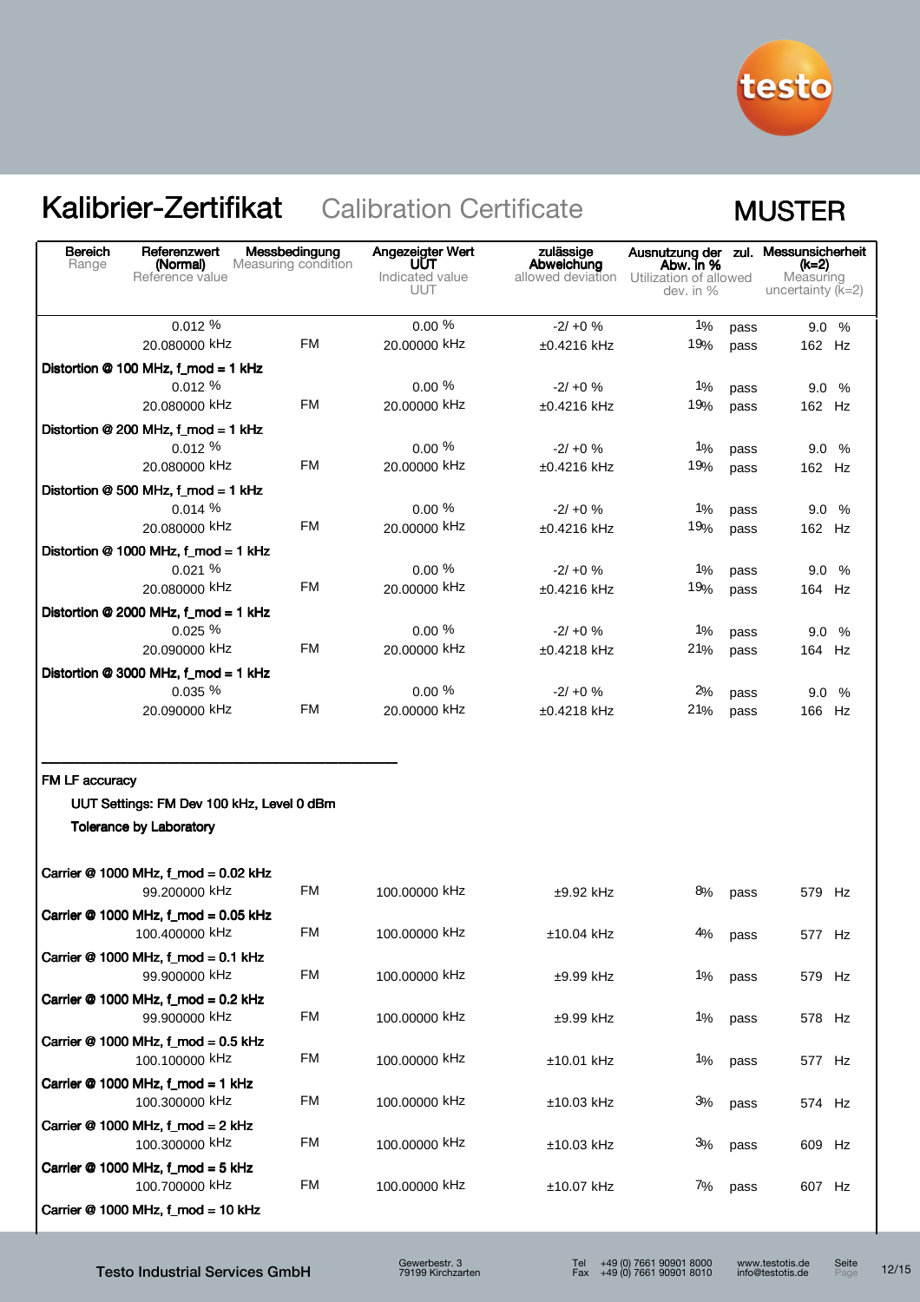

| Bereich<br>Range | Referenzwert<br>(Normal)<br>Reference value                                 | Messbedingung<br>Measuring condition | Angezeigter Wert<br><b>UUT</b><br>Indicated value<br><b>UUT</b> | zulässige<br>Abweichung<br>allowed deviation Utilization of allowed | Ausnutzung der zul. Messunsicherheit<br>Abw. in %<br>dev. in % |              | (k=2)<br>Measuring<br>uncertainty $(K=2)$ |  |
|------------------|-----------------------------------------------------------------------------|--------------------------------------|-----------------------------------------------------------------|---------------------------------------------------------------------|----------------------------------------------------------------|--------------|-------------------------------------------|--|
|                  | 0.012%                                                                      |                                      | $0.00 \%$                                                       | $-2/10 \%$                                                          | $1\%$                                                          | pass         | $9.0\%$                                   |  |
|                  | 20.080000 kHz                                                               | FM                                   | 20.00000 kHz                                                    | ±0.4216 kHz                                                         | 19%                                                            | pass         | 162 Hz                                    |  |
|                  | Distortion @ 100 MHz, f_mod = 1 kHz                                         |                                      |                                                                 |                                                                     |                                                                |              |                                           |  |
|                  | 0.012%                                                                      | FM                                   | $0.00\%$                                                        | $-2/ +0$ %                                                          | $1\%$                                                          | pass         | 9.0%                                      |  |
|                  | 20.080000 kHz                                                               |                                      | 20.00000 kHz                                                    | $±0.4216$ kHz                                                       | 19%                                                            | pass         | 162 Hz                                    |  |
|                  | Distortion @ 200 MHz, f_mod = 1 kHz                                         |                                      |                                                                 |                                                                     |                                                                |              |                                           |  |
|                  | 0.012%<br>20.080000 kHz                                                     | <b>FM</b>                            | $0.00 \%$<br>20.00000 kHz                                       | $-2/ +0$ %                                                          | $1\%$<br>19%                                                   | pass         | 9.0%                                      |  |
|                  |                                                                             |                                      |                                                                 | ±0.4216 kHz                                                         |                                                                | pass         | 162 Hz                                    |  |
|                  | Distortion @ 500 MHz, f_mod = 1 kHz                                         |                                      |                                                                 |                                                                     |                                                                |              |                                           |  |
|                  | $0.014\%$<br>20.080000 kHz                                                  | FM                                   | $0.00\%$<br>20.00000 kHz                                        | $-2/ +0$ %                                                          | $1\%$<br>19%                                                   | pass         | 9.0%                                      |  |
|                  |                                                                             |                                      |                                                                 | $±0.4216$ kHz                                                       |                                                                | pass         | 162 Hz                                    |  |
|                  | Distortion @ 1000 MHz, f_mod = 1 kHz<br>0.021%                              |                                      | $0.00\%$                                                        |                                                                     |                                                                |              |                                           |  |
|                  | 20.080000 kHz                                                               | FM                                   | 20.00000 kHz                                                    | $-2/10 \%$                                                          | $1\%$<br>19%                                                   | pass         | 9.0%                                      |  |
|                  |                                                                             |                                      |                                                                 | $±0.4216$ kHz                                                       |                                                                | pass         | 164 Hz                                    |  |
|                  | Distortion @ 2000 MHz, f_mod = 1 kHz                                        |                                      | $0.00 \%$                                                       |                                                                     |                                                                |              |                                           |  |
|                  | 0.025%<br>20.090000 kHz                                                     | <b>FM</b>                            | 20.00000 kHz                                                    | $-2/10 \%$<br>$±0.4218$ kHz                                         | 1%<br>21%                                                      | pass         | 9.0 %<br>164 Hz                           |  |
|                  |                                                                             |                                      |                                                                 |                                                                     |                                                                | pass         |                                           |  |
|                  | Distortion @ 3000 MHz, f_mod = 1 kHz                                        |                                      | $0.00 \%$                                                       |                                                                     |                                                                |              |                                           |  |
|                  | 0.035%<br>20.090000 kHz                                                     | <b>FM</b>                            | 20.00000 kHz                                                    | $-2/ +0$ %<br>$±0.4218$ kHz                                         | 2%<br>21%                                                      | pass<br>pass | 9.0 %<br>166 Hz                           |  |
| FM LF accuracy   | UUT Settings: FM Dev 100 kHz, Level 0 dBm<br><b>Tolerance by Laboratory</b> |                                      |                                                                 |                                                                     |                                                                |              |                                           |  |
|                  |                                                                             |                                      |                                                                 |                                                                     |                                                                |              |                                           |  |
|                  | Carrier @ 1000 MHz, f_mod = 0.02 kHz<br>99.200000 kHz                       | FM                                   | 100,00000 kHz                                                   | $±9.92$ kHz                                                         | 8%                                                             | pass         | 579 Hz                                    |  |
|                  | Carrier @ 1000 MHz, f_mod = 0.05 kHz<br>100.400000 KHZ                      | <b>FM</b>                            | 100.00000 kHz                                                   | $±10.04$ kHz                                                        | 4%                                                             | pass         | 577 Hz                                    |  |
|                  | Carrier $@$ 1000 MHz, f_mod = 0.1 kHz<br>99.900000 kHz                      | FM                                   | 100.00000 kHz                                                   | $±9.99$ kHz                                                         | 1%                                                             | pass         | 579 Hz                                    |  |
|                  | Carrier @ 1000 MHz, f_mod = 0.2 kHz<br>99.900000 kHz                        | <b>FM</b>                            | 100.00000 kHz                                                   | $±9.99$ kHz                                                         | 1%                                                             | pass         | 578 Hz                                    |  |
|                  | Carrier @ 1000 MHz, f_mod = 0.5 kHz<br>100.100000 kHz                       | FM                                   | 100.00000 kHz                                                   | $±10.01$ kHz                                                        | $1\%$                                                          | pass         | 577 Hz                                    |  |
|                  | Carrier @ 1000 MHz, f_mod = 1 kHz<br>100.300000 kHz                         | <b>FM</b>                            | 100.00000 kHz                                                   | $±10.03$ kHz                                                        | 3%                                                             | pass         | 574 Hz                                    |  |
|                  | Carrier @ 1000 MHz, f_mod = 2 kHz<br>100.300000 kHz                         | FM                                   | 100.00000 kHz                                                   | $±10.03$ kHz                                                        | 3%                                                             | pass         | 609 Hz                                    |  |
|                  | Carrier @ 1000 MHz, f_mod = 5 kHz<br>100.700000 kHz                         | FM                                   | 100.00000 kHz                                                   | $±10.07$ kHz                                                        | 7%                                                             | pass         | 607 Hz                                    |  |
|                  | Carrier @ 1000 MHz, f_mod = 10 kHz                                          |                                      |                                                                 |                                                                     |                                                                |              |                                           |  |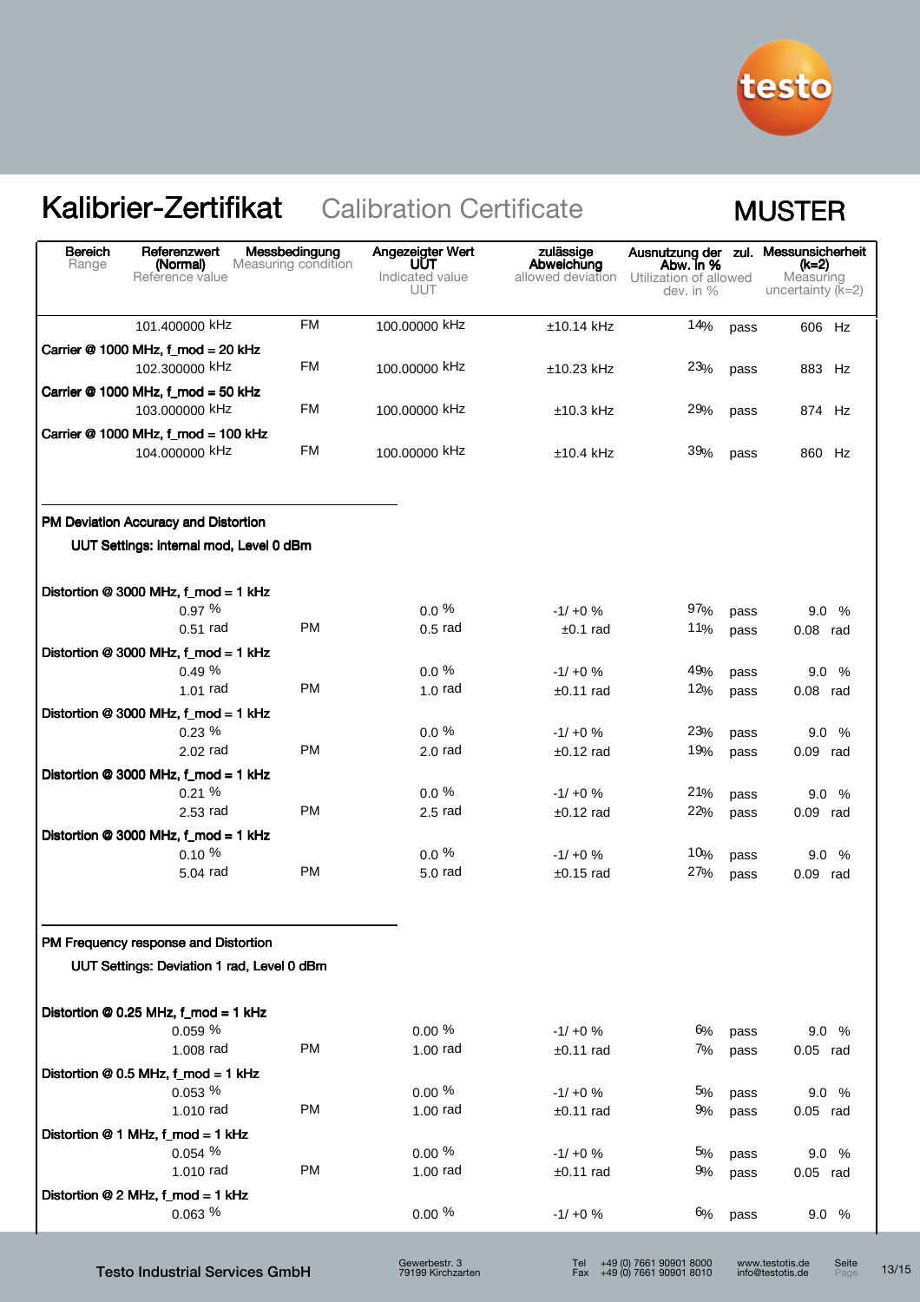

| <b>Bereich</b><br>Range | Referenzwert<br>(Normal)<br>Reference value                                        | Messbedingung<br>Measuring condition | Angezeigter Wert<br>UUT<br>Indicated value<br><b>UUT</b> | zulässige<br>Abweichung<br>allowed deviation | Abw. in %<br>Utilization of allowed<br>dev. in % |              | Ausnutzung der zul. Messunsicherheit<br>(k=2)<br>Measuring<br>uncertainty $(k=2)$ |
|-------------------------|------------------------------------------------------------------------------------|--------------------------------------|----------------------------------------------------------|----------------------------------------------|--------------------------------------------------|--------------|-----------------------------------------------------------------------------------|
|                         | 101.400000 kHz                                                                     | <b>FM</b>                            | 100.00000 kHz                                            | $±10.14$ kHz                                 | 14%                                              | pass         | 606 Hz                                                                            |
|                         | Carrier @ 1000 MHz, f_mod = 20 kHz<br>102.300000 kHz                               | <b>FM</b>                            | 100,00000 kHz                                            | $±10.23$ kHz                                 | 23%                                              | pass         | 883 Hz                                                                            |
|                         | Carrier @ 1000 MHz, f_mod = 50 kHz<br>103.000000 kHz                               | FM                                   | 100.00000 kHz                                            | $±10.3$ kHz                                  | 29%                                              | pass         | 874 Hz                                                                            |
|                         | Carrier @ 1000 MHz, f_mod = 100 kHz<br>104.000000 kHz                              | FM                                   | 100,00000 kHz                                            | $±10.4$ kHz                                  | 39%                                              | pass         | 860 Hz                                                                            |
|                         | PM Deviation Accuracy and Distortion                                               |                                      |                                                          |                                              |                                                  |              |                                                                                   |
|                         | UUT Settings: internal mod, Level 0 dBm                                            |                                      |                                                          |                                              |                                                  |              |                                                                                   |
|                         | Distortion @ 3000 MHz, f_mod = 1 kHz                                               |                                      |                                                          |                                              |                                                  |              |                                                                                   |
|                         | 0.97%                                                                              |                                      | $0.0 \%$                                                 | $-1/10 \%$                                   | 97%                                              | pass         | 9.0%                                                                              |
|                         | $0.51$ rad                                                                         | <b>PM</b>                            | $0.5$ rad                                                | $±0.1$ rad                                   | 11%                                              | pass         | $0.08$ rad                                                                        |
|                         | Distortion @ 3000 MHz, f_mod = 1 kHz                                               |                                      |                                                          |                                              |                                                  |              |                                                                                   |
|                         | 0.49%                                                                              | <b>PM</b>                            | $0.0 \%$<br>$1.0$ rad                                    | $-1/10 \%$                                   | 49%                                              | pass         | 9.0%                                                                              |
|                         | $1.01$ rad                                                                         |                                      |                                                          | $±0.11$ rad                                  | 12%                                              | pass         | $0.08$ rad                                                                        |
|                         | Distortion @ 3000 MHz, f_mod = 1 kHz<br>$0.23\%$                                   |                                      | $0.0 \%$                                                 |                                              | 23%                                              |              |                                                                                   |
|                         | $2.02$ rad                                                                         | <b>PM</b>                            | $2.0$ rad                                                | $-1/10 \%$<br>$±0.12$ rad                    | 19%                                              | pass<br>pass | 9.0%<br>$0.09$ rad                                                                |
|                         | Distortion @ 3000 MHz, f_mod = 1 kHz                                               |                                      |                                                          |                                              |                                                  |              |                                                                                   |
|                         | 0.21%                                                                              |                                      | $0.0\ \%$                                                | $-1/10 \%$                                   | 21%                                              | pass         | 9.0%                                                                              |
|                         | $2.53$ rad                                                                         | <b>PM</b>                            | $2.5$ rad                                                | $±0.12$ rad                                  | 22%                                              | pass         | $0.09$ rad                                                                        |
|                         | Distortion @ 3000 MHz, f_mod = 1 kHz<br>0.10%                                      |                                      | $0.0 \%$                                                 | $-1/10 \%$                                   | 10%                                              |              |                                                                                   |
|                         | 5.04 rad                                                                           | <b>PM</b>                            | $5.0$ rad                                                | $±0.15$ rad                                  | 27%                                              | pass<br>pass | 9.0 %<br>$0.09$ rad                                                               |
|                         | PM Frequency response and Distortion<br>UUT Settings: Deviation 1 rad, Level 0 dBm |                                      |                                                          |                                              |                                                  |              |                                                                                   |
|                         |                                                                                    |                                      |                                                          |                                              |                                                  |              |                                                                                   |
|                         | Distortion @ 0.25 MHz, f_mod = 1 kHz                                               |                                      |                                                          |                                              |                                                  |              |                                                                                   |
|                         | 0.059%<br>1.008 rad                                                                | <b>PM</b>                            | $0.00 \%$<br>$1.00$ rad                                  | $-1/10 \%$                                   | 6%                                               | pass         | 9.0 %                                                                             |
|                         |                                                                                    |                                      |                                                          | $±0.11$ rad                                  | 7%                                               | pass         | $0.05$ rad                                                                        |
|                         | Distortion @ 0.5 MHz, f_mod = 1 kHz<br>0.053~%                                     |                                      | $0.00 \%$                                                | $-1/ +0$ %                                   | 5%                                               | pass         | 9.0 %                                                                             |
|                         | 1.010 rad                                                                          | <b>PM</b>                            | 1.00 rad                                                 | $±0.11$ rad                                  | 9%                                               | pass         | $0.05$ rad                                                                        |
|                         | Distortion @ 1 MHz, f_mod = 1 kHz                                                  |                                      |                                                          |                                              |                                                  |              |                                                                                   |
|                         | 0.054~%                                                                            |                                      | $0.00 \%$                                                | $-1/ +0$ %                                   | 5%                                               | pass         | 9.0%                                                                              |
|                         | 1.010 rad                                                                          | PM                                   | 1.00 rad                                                 | $±0.11$ rad                                  | 9%                                               | pass         | $0.05$ rad                                                                        |
|                         | Distortion @ 2 MHz, f_mod = 1 kHz                                                  |                                      |                                                          |                                              |                                                  |              |                                                                                   |
|                         | 0.063~%                                                                            |                                      | $0.00 \%$                                                | $-1/ +0$ %                                   | 6%                                               | pass         | 9.0%                                                                              |
|                         |                                                                                    |                                      | Gewerheetr 3                                             | $T_{\mathbf{a}}$                             | $\pm$ 49 (0) 7661 90901 8000                     |              | www.testotis.de<br>$C_0$ it                                                       |

Gewerbestr. 3 79199 Kirchzarten

Seite 13/15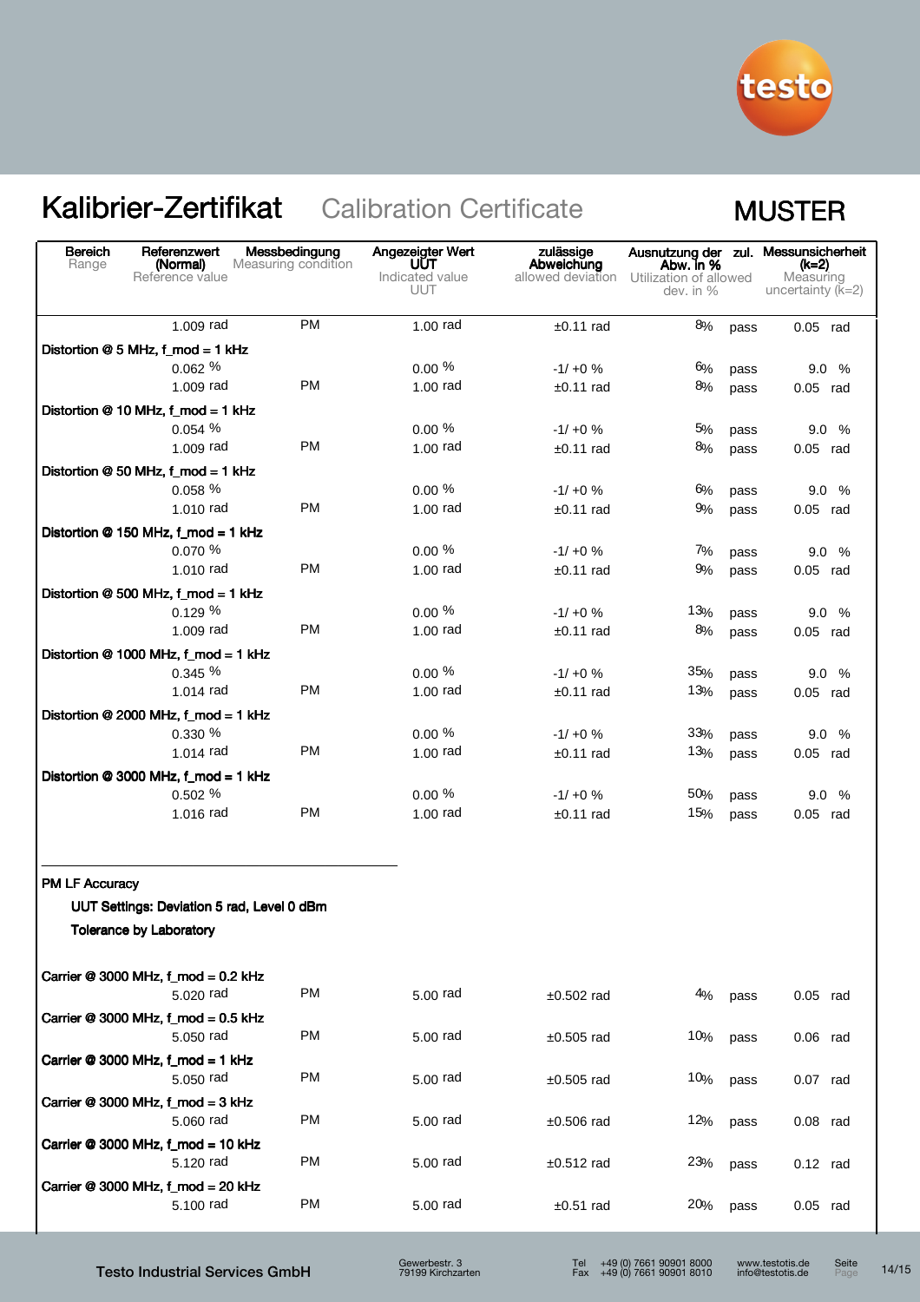

| Distortion @ 5 MHz, f_mod = 1 kHz<br>Distortion @ 10 MHz, f_mod = 1 kHz<br>Distortion @ 50 MHz, f_mod = 1 kHz<br>Distortion @ 150 MHz, f_mod = 1 kHz<br>Distortion @ 500 MHz, f_mod = 1 kHz<br>Distortion @ 1000 MHz, f_mod = 1 kHz | 1.009 rad<br>0.062%<br>1.009 rad<br>0.054 %<br>1.009 rad<br>0.058%<br>1.010 rad<br>0.070 %<br>1.010 rad | <b>PM</b><br><b>PM</b><br><b>PM</b><br><b>PM</b> | $1.00$ rad<br>$0.00 \%$<br>$1.00$ rad<br>0.00%<br>$1.00$ rad<br>$0.00 \%$ | $±0.11$ rad<br>$-1/ +0$ %<br>$±0.11$ rad<br>$-1/10 \%$<br>$±0.11$ rad | 8%<br>6%<br>8%<br>5% | pass<br>pass<br>pass | $0.05$ rad<br>9.0%<br>$0.05$ rad |
|-------------------------------------------------------------------------------------------------------------------------------------------------------------------------------------------------------------------------------------|---------------------------------------------------------------------------------------------------------|--------------------------------------------------|---------------------------------------------------------------------------|-----------------------------------------------------------------------|----------------------|----------------------|----------------------------------|
|                                                                                                                                                                                                                                     |                                                                                                         |                                                  |                                                                           |                                                                       |                      |                      |                                  |
|                                                                                                                                                                                                                                     |                                                                                                         |                                                  |                                                                           |                                                                       |                      |                      |                                  |
|                                                                                                                                                                                                                                     |                                                                                                         |                                                  |                                                                           |                                                                       |                      |                      |                                  |
|                                                                                                                                                                                                                                     |                                                                                                         |                                                  |                                                                           |                                                                       |                      |                      |                                  |
|                                                                                                                                                                                                                                     |                                                                                                         |                                                  |                                                                           |                                                                       |                      |                      |                                  |
|                                                                                                                                                                                                                                     |                                                                                                         |                                                  |                                                                           |                                                                       |                      | pass                 | 9.0%                             |
|                                                                                                                                                                                                                                     |                                                                                                         |                                                  |                                                                           |                                                                       | 8%                   | pass                 | $0.05$ rad                       |
|                                                                                                                                                                                                                                     |                                                                                                         |                                                  |                                                                           |                                                                       | 6%                   |                      |                                  |
|                                                                                                                                                                                                                                     |                                                                                                         |                                                  | $1.00$ rad                                                                | $-1/ +0$ %<br>$±0.11$ rad                                             | 9%                   | pass<br>pass         | 9.0%<br>$0.05$ rad               |
|                                                                                                                                                                                                                                     |                                                                                                         |                                                  |                                                                           |                                                                       |                      |                      |                                  |
|                                                                                                                                                                                                                                     |                                                                                                         |                                                  | $0.00 \%$                                                                 | $-1/10 \%$                                                            | 7%                   | pass                 | 9.0%                             |
|                                                                                                                                                                                                                                     |                                                                                                         | <b>PM</b>                                        | $1.00$ rad                                                                | $±0.11$ rad                                                           | 9%                   | pass                 | $0.05$ rad                       |
|                                                                                                                                                                                                                                     |                                                                                                         |                                                  |                                                                           |                                                                       |                      |                      |                                  |
|                                                                                                                                                                                                                                     | 0.129%                                                                                                  |                                                  | $0.00 \%$                                                                 | $-1/ +0$ %                                                            | 13%                  | pass                 | 9.0%                             |
|                                                                                                                                                                                                                                     | 1,009 rad                                                                                               | <b>PM</b>                                        | $1.00$ rad                                                                | $±0.11$ rad                                                           | 8%                   | pass                 | $0.05$ rad                       |
|                                                                                                                                                                                                                                     |                                                                                                         |                                                  |                                                                           |                                                                       |                      |                      |                                  |
|                                                                                                                                                                                                                                     | 0.345 %                                                                                                 |                                                  | $0.00\%$                                                                  | $-1/10%$                                                              | 35%                  | pass                 | 9.0%                             |
|                                                                                                                                                                                                                                     | 1.014 rad                                                                                               | <b>PM</b>                                        | $1.00$ rad                                                                | $±0.11$ rad                                                           | 13%                  | pass                 | $0.05$ rad                       |
| Distortion @ 2000 MHz, f_mod = 1 kHz                                                                                                                                                                                                |                                                                                                         |                                                  |                                                                           |                                                                       |                      |                      |                                  |
|                                                                                                                                                                                                                                     | 0.330 %                                                                                                 |                                                  | $0.00 \%$                                                                 | $-1/10%$                                                              | 33%                  | pass                 | 9.0%                             |
|                                                                                                                                                                                                                                     | 1.014 rad                                                                                               | <b>PM</b>                                        | $1.00$ rad                                                                | $±0.11$ rad                                                           | 13%                  | pass                 | $0.05$ rad                       |
| Distortion @ 3000 MHz, f_mod = 1 kHz                                                                                                                                                                                                |                                                                                                         |                                                  |                                                                           |                                                                       |                      |                      |                                  |
|                                                                                                                                                                                                                                     | 0.502 %                                                                                                 |                                                  | $0.00 \%$                                                                 | $-1/ +0$ %                                                            | 50%                  | pass                 | 9.0%                             |
|                                                                                                                                                                                                                                     | 1.016 rad                                                                                               | <b>PM</b>                                        | $1.00$ rad                                                                | $±0.11$ rad                                                           | 15%                  | pass                 | $0.05$ rad                       |
| <b>PM LF Accuracy</b><br><b>Tolerance by Laboratory</b>                                                                                                                                                                             |                                                                                                         | UUT Settings: Deviation 5 rad, Level 0 dBm       |                                                                           |                                                                       |                      |                      |                                  |
| Carrier @ 3000 MHz, f_mod = 0.2 kHz                                                                                                                                                                                                 | 5.020 rad                                                                                               | PM                                               | 5.00 rad                                                                  | $±0.502$ rad                                                          | 4%                   | pass                 | $0.05$ rad                       |
| Carrier @ 3000 MHz, f_mod = 0.5 kHz                                                                                                                                                                                                 | 5.050 rad                                                                                               | PM                                               | 5,00 rad                                                                  | $±0.505$ rad                                                          | 10%                  | pass                 | $0.06$ rad                       |
| Carrier @ 3000 MHz, f_mod = 1 kHz                                                                                                                                                                                                   | 5.050 rad                                                                                               | <b>PM</b>                                        | 5.00 rad                                                                  | $±0.505$ rad                                                          | 10%                  | pass                 | $0.07$ rad                       |
| Carrier @ 3000 MHz, f_mod = 3 kHz                                                                                                                                                                                                   | 5,060 rad                                                                                               | PM                                               | 5,00 rad                                                                  | $±0.506$ rad                                                          | 12%                  | pass                 | $0.08$ rad                       |
| Carrier @ 3000 MHz, f_mod = 10 kHz                                                                                                                                                                                                  | 5.120 rad                                                                                               | <b>PM</b>                                        | 5.00 rad                                                                  | $±0.512$ rad                                                          | 23%                  | pass                 | $0.12$ rad                       |
| Carrier @ 3000 MHz, f_mod = 20 kHz                                                                                                                                                                                                  |                                                                                                         |                                                  |                                                                           |                                                                       |                      |                      |                                  |